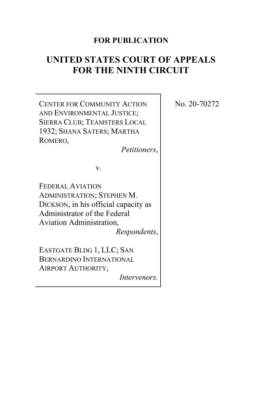# **FOR PUBLICATION**

# **UNITED STATES COURT OF APPEALS FOR THE NINTH CIRCUIT**

CENTER FOR COMMUNITY ACTION AND ENVIRONMENTAL JUSTICE; SIERRA CLUB; TEAMSTERS LOCAL 1932; SHANA SATERS; MARTHA ROMERO,

*Petitioners*,

v.

FEDERAL AVIATION ADMINISTRATION; STEPHEN M. DICKSON, in his official capacity as Administrator of the Federal Aviation Administration, *Respondents*,

EASTGATE BLDG 1, LLC; SAN BERNARDINO INTERNATIONAL AIRPORT AUTHORITY,

*Intervenors.*

No. 20-70272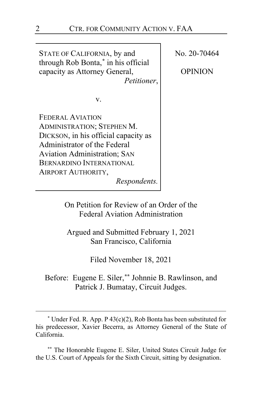STATE OF CALIFORNIA, by and through Rob Bonta, **[\\*](#page-1-0)** in his official capacity as Attorney General, *Petitioner*, v. FEDERAL AVIATION ADMINISTRATION; STEPHEN M. DICKSON, in his official capacity as Administrator of the Federal Aviation Administration; SAN BERNARDINO INTERNATIONAL AIRPORT AUTHORITY, *Respondents.* No. 20-70464 OPINION

> On Petition for Review of an Order of the Federal Aviation Administration

Argued and Submitted February 1, 2021 San Francisco, California

Filed November 18, 2021

Before: Eugene E. Siler, **[\\*\\*](#page-1-1)** Johnnie B. Rawlinson, and Patrick J. Bumatay, Circuit Judges.

<span id="page-1-1"></span>**\*\*** The Honorable Eugene E. Siler, United States Circuit Judge for the U.S. Court of Appeals for the Sixth Circuit, sitting by designation.

<span id="page-1-0"></span> $*$  Under Fed. R. App. P 43(c)(2), Rob Bonta has been substituted for his predecessor, Xavier Becerra, as Attorney General of the State of California.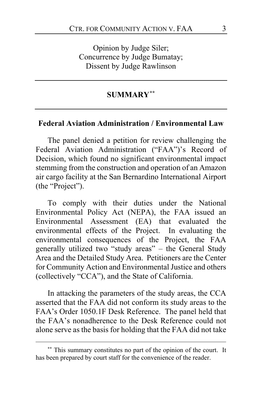Opinion by Judge Siler; Concurrence by Judge Bumatay; Dissent by Judge Rawlinson

#### **SUMMARY[\\*\\*](#page-2-0)**

## **Federal Aviation Administration / Environmental Law**

The panel denied a petition for review challenging the Federal Aviation Administration ("FAA")'s Record of Decision, which found no significant environmental impact stemming from the construction and operation of an Amazon air cargo facility at the San Bernardino International Airport (the "Project").

To comply with their duties under the National Environmental Policy Act (NEPA), the FAA issued an Environmental Assessment (EA) that evaluated the environmental effects of the Project. In evaluating the environmental consequences of the Project, the FAA generally utilized two "study areas" – the General Study Area and the Detailed Study Area. Petitioners are the Center for Community Action and Environmental Justice and others (collectively "CCA"), and the State of California.

In attacking the parameters of the study areas, the CCA asserted that the FAA did not conform its study areas to the FAA's Order 1050.1F Desk Reference. The panel held that the FAA's nonadherence to the Desk Reference could not alone serve as the basis for holding that the FAA did not take

<span id="page-2-0"></span>**<sup>\*\*</sup>** This summary constitutes no part of the opinion of the court. It has been prepared by court staff for the convenience of the reader.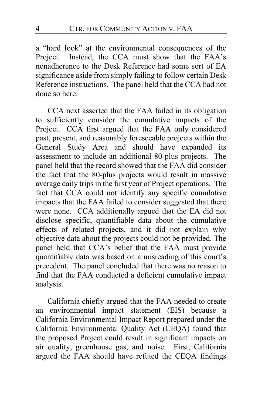a "hard look" at the environmental consequences of the Project. Instead, the CCA must show that the FAA's nonadherence to the Desk Reference had some sort of EA significance aside from simply failing to follow certain Desk Reference instructions. The panel held that the CCA had not done so here.

CCA next asserted that the FAA failed in its obligation to sufficiently consider the cumulative impacts of the Project. CCA first argued that the FAA only considered past, present, and reasonably foreseeable projects within the General Study Area and should have expanded its assessment to include an additional 80-plus projects. The panel held that the record showed that the FAA did consider the fact that the 80-plus projects would result in massive average daily trips in the first year of Project operations. The fact that CCA could not identify any specific cumulative impacts that the FAA failed to consider suggested that there were none. CCA additionally argued that the EA did not disclose specific, quantifiable data about the cumulative effects of related projects, and it did not explain why objective data about the projects could not be provided. The panel held that CCA's belief that the FAA must provide quantifiable data was based on a misreading of this court's precedent. The panel concluded that there was no reason to find that the FAA conducted a deficient cumulative impact analysis.

California chiefly argued that the FAA needed to create an environmental impact statement (EIS) because a California Environmental Impact Report prepared under the California Environmental Quality Act (CEQA) found that the proposed Project could result in significant impacts on air quality, greenhouse gas, and noise. First, California argued the FAA should have refuted the CEQA findings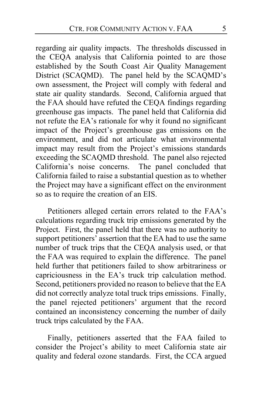regarding air quality impacts. The thresholds discussed in the CEQA analysis that California pointed to are those established by the South Coast Air Quality Management District (SCAQMD). The panel held by the SCAQMD's own assessment, the Project will comply with federal and state air quality standards. Second, California argued that the FAA should have refuted the CEQA findings regarding greenhouse gas impacts. The panel held that California did not refute the EA's rationale for why it found no significant impact of the Project's greenhouse gas emissions on the environment, and did not articulate what environmental impact may result from the Project's emissions standards exceeding the SCAQMD threshold. The panel also rejected California's noise concerns. The panel concluded that California failed to raise a substantial question as to whether the Project may have a significant effect on the environment so as to require the creation of an EIS.

Petitioners alleged certain errors related to the FAA's calculations regarding truck trip emissions generated by the Project. First, the panel held that there was no authority to support petitioners' assertion that the EA had to use the same number of truck trips that the CEQA analysis used, or that the FAA was required to explain the difference. The panel held further that petitioners failed to show arbitrariness or capriciousness in the EA's truck trip calculation method. Second, petitioners provided no reason to believe that the EA did not correctly analyze total truck trips emissions. Finally, the panel rejected petitioners' argument that the record contained an inconsistency concerning the number of daily truck trips calculated by the FAA.

Finally, petitioners asserted that the FAA failed to consider the Project's ability to meet California state air quality and federal ozone standards. First, the CCA argued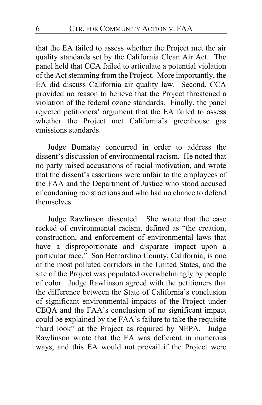that the EA failed to assess whether the Project met the air quality standards set by the California Clean Air Act. The panel held that CCA failed to articulate a potential violation of the Act stemming from the Project. More importantly, the EA did discuss California air quality law. Second, CCA provided no reason to believe that the Project threatened a violation of the federal ozone standards. Finally, the panel rejected petitioners' argument that the EA failed to assess whether the Project met California's greenhouse gas emissions standards.

Judge Bumatay concurred in order to address the dissent's discussion of environmental racism. He noted that no party raised accusations of racial motivation, and wrote that the dissent's assertions were unfair to the employees of the FAA and the Department of Justice who stood accused of condoning racist actions and who had no chance to defend themselves.

Judge Rawlinson dissented. She wrote that the case reeked of environmental racism, defined as "the creation, construction, and enforcement of environmental laws that have a disproportionate and disparate impact upon a particular race." San Bernardino County, California, is one of the most polluted corridors in the United States, and the site of the Project was populated overwhelmingly by people of color. Judge Rawlinson agreed with the petitioners that the difference between the State of California's conclusion of significant environmental impacts of the Project under CEQA and the FAA's conclusion of no significant impact could be explained by the FAA's failure to take the requisite "hard look" at the Project as required by NEPA. Judge Rawlinson wrote that the EA was deficient in numerous ways, and this EA would not prevail if the Project were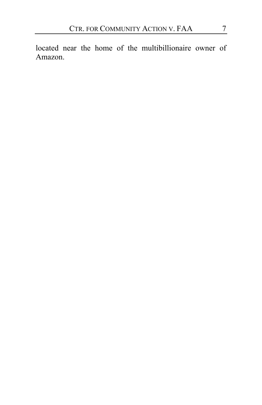located near the home of the multibillionaire owner of Amazon.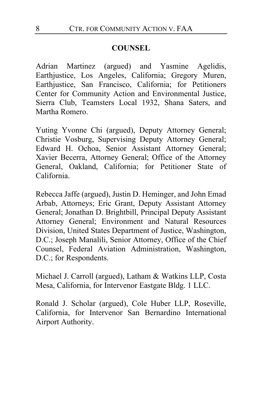#### **COUNSEL**

Adrian Martinez (argued) and Yasmine Agelidis, Earthjustice, Los Angeles, California; Gregory Muren, Earthjustice, San Francisco, California; for Petitioners Center for Community Action and Environmental Justice, Sierra Club, Teamsters Local 1932, Shana Saters, and Martha Romero.

Yuting Yvonne Chi (argued), Deputy Attorney General; Christie Vosburg, Supervising Deputy Attorney General; Edward H. Ochoa, Senior Assistant Attorney General; Xavier Becerra, Attorney General; Office of the Attorney General, Oakland, California; for Petitioner State of California.

Rebecca Jaffe (argued), Justin D. Heminger, and John Emad Arbab, Attorneys; Eric Grant, Deputy Assistant Attorney General; Jonathan D. Brightbill, Principal Deputy Assistant Attorney General; Environment and Natural Resources Division, United States Department of Justice, Washington, D.C.; Joseph Manalili, Senior Attorney, Office of the Chief Counsel, Federal Aviation Administration, Washington, D.C.; for Respondents.

Michael J. Carroll (argued), Latham & Watkins LLP, Costa Mesa, California, for Intervenor Eastgate Bldg. 1 LLC.

Ronald J. Scholar (argued), Cole Huber LLP, Roseville, California, for Intervenor San Bernardino International Airport Authority.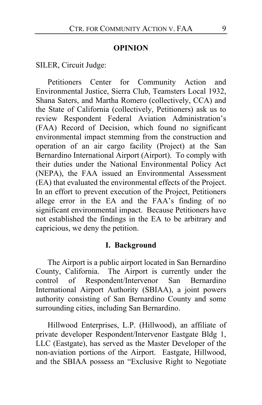#### **OPINION**

SILER, Circuit Judge:

Petitioners Center for Community Action and Environmental Justice, Sierra Club, Teamsters Local 1932, Shana Saters, and Martha Romero (collectively, CCA) and the State of California (collectively, Petitioners) ask us to review Respondent Federal Aviation Administration's (FAA) Record of Decision, which found no significant environmental impact stemming from the construction and operation of an air cargo facility (Project) at the San Bernardino International Airport (Airport). To comply with their duties under the National Environmental Policy Act (NEPA), the FAA issued an Environmental Assessment (EA) that evaluated the environmental effects of the Project. In an effort to prevent execution of the Project, Petitioners allege error in the EA and the FAA's finding of no significant environmental impact. Because Petitioners have not established the findings in the EA to be arbitrary and capricious, we deny the petition.

#### **I. Background**

The Airport is a public airport located in San Bernardino County, California. The Airport is currently under the control of Respondent/Intervenor San Bernardino International Airport Authority (SBIAA), a joint powers authority consisting of San Bernardino County and some surrounding cities, including San Bernardino.

Hillwood Enterprises, L.P. (Hillwood), an affiliate of private developer Respondent/Intervenor Eastgate Bldg 1, LLC (Eastgate), has served as the Master Developer of the non-aviation portions of the Airport. Eastgate, Hillwood, and the SBIAA possess an "Exclusive Right to Negotiate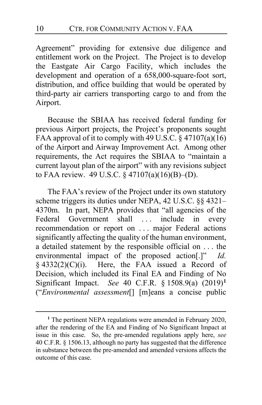Agreement" providing for extensive due diligence and entitlement work on the Project. The Project is to develop the Eastgate Air Cargo Facility, which includes the development and operation of a 658,000-square-foot sort, distribution, and office building that would be operated by third-party air carriers transporting cargo to and from the Airport.

Because the SBIAA has received federal funding for previous Airport projects, the Project's proponents sought FAA approval of it to comply with 49 U.S.C.  $\S$  47107(a)(16) of the Airport and Airway Improvement Act. Among other requirements, the Act requires the SBIAA to "maintain a current layout plan of the airport" with any revisions subject to FAA review. 49 U.S.C. § 47107(a)(16)(B)–(D).

The FAA's review of the Project under its own statutory scheme triggers its duties under NEPA, 42 U.S.C. §§ 4321– 4370m. In part, NEPA provides that "all agencies of the Federal Government shall ... include in every recommendation or report on . . . major Federal actions significantly affecting the quality of the human environment, a detailed statement by the responsible official on . . . the environmental impact of the proposed action[.]" *Id.*  $§$  4332(2)(C)(i). Here, the FAA issued a Record of Decision, which included its Final EA and Finding of No Significant Impact. *See* 40 C.F.R. § 1508.9(a) (2019)**[1](#page-9-0)** ("*Environmental assessment*[] [m]eans a concise public

<span id="page-9-0"></span>**<sup>1</sup>** The pertinent NEPA regulations were amended in February 2020, after the rendering of the EA and Finding of No Significant Impact at issue in this case. So, the pre-amended regulations apply here, *see* 40 C.F.R. § 1506.13, although no party has suggested that the difference in substance between the pre-amended and amended versions affects the outcome of this case.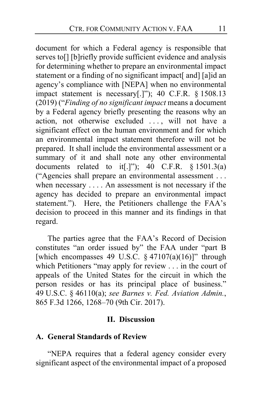document for which a Federal agency is responsible that serves to<sup>[]</sup> [b]riefly provide sufficient evidence and analysis for determining whether to prepare an environmental impact statement or a finding of no significant impact[ and] [a]id an agency's compliance with [NEPA] when no environmental impact statement is necessary[.]"); 40 C.F.R. § 1508.13 (2019) ("*Finding of no significant impact* means a document by a Federal agency briefly presenting the reasons why an action, not otherwise excluded . . . , will not have a significant effect on the human environment and for which an environmental impact statement therefore will not be prepared. It shall include the environmental assessment or a summary of it and shall note any other environmental documents related to it[.]"); 40 C.F.R.  $§ 1501.3(a)$ ("Agencies shall prepare an environmental assessment . . . when necessary . . . . An assessment is not necessary if the agency has decided to prepare an environmental impact statement."). Here, the Petitioners challenge the FAA's decision to proceed in this manner and its findings in that regard.

The parties agree that the FAA's Record of Decision constitutes "an order issued by" the FAA under "part B [which encompasses 49 U.S.C.  $\S$  47107(a)(16)]" through which Petitioners "may apply for review . . . in the court of appeals of the United States for the circuit in which the person resides or has its principal place of business." 49 U.S.C. § 46110(a); *see Barnes v. Fed. Aviation Admin.*, 865 F.3d 1266, 1268–70 (9th Cir. 2017).

#### **II. Discussion**

#### **A. General Standards of Review**

"NEPA requires that a federal agency consider every significant aspect of the environmental impact of a proposed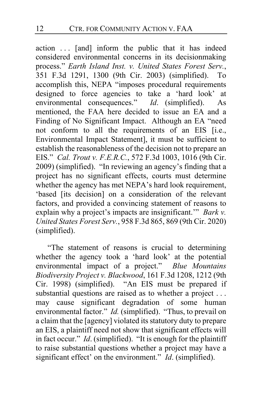action . . . [and] inform the public that it has indeed considered environmental concerns in its decisionmaking process." *Earth Island Inst. v. United States Forest Serv.*, 351 F.3d 1291, 1300 (9th Cir. 2003) (simplified). To accomplish this, NEPA "imposes procedural requirements designed to force agencies to take a 'hard look' at environmental consequences." *Id*. (simplified). As mentioned, the FAA here decided to issue an EA and a Finding of No Significant Impact. Although an EA "need not conform to all the requirements of an EIS [i.e., Environmental Impact Statement], it must be sufficient to establish the reasonableness of the decision not to prepare an EIS." *Cal. Trout v. F.E.R.C.*, 572 F.3d 1003, 1016 (9th Cir. 2009) (simplified). "In reviewing an agency's finding that a project has no significant effects, courts must determine whether the agency has met NEPA's hard look requirement, 'based [its decision] on a consideration of the relevant factors, and provided a convincing statement of reasons to explain why a project's impacts are insignificant.'" *Bark v. United States Forest Serv.*, 958 F.3d 865, 869 (9th Cir. 2020) (simplified).

"The statement of reasons is crucial to determining whether the agency took a 'hard look' at the potential environmental impact of a project." *Blue Mountains Biodiversity Project v. Blackwood*, 161 F.3d 1208, 1212 (9th Cir. 1998) (simplified). "An EIS must be prepared if substantial questions are raised as to whether a project ... may cause significant degradation of some human environmental factor." *Id.* (simplified). "Thus, to prevail on a claim that the [agency] violated its statutory duty to prepare an EIS, a plaintiff need not show that significant effects will in fact occur." *Id*. (simplified). "It is enough for the plaintiff to raise substantial questions whether a project may have a significant effect' on the environment." *Id*. (simplified).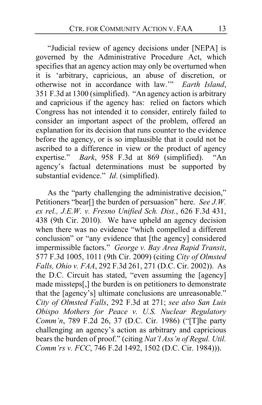"Judicial review of agency decisions under [NEPA] is governed by the Administrative Procedure Act, which specifies that an agency action may only be overturned when it is 'arbitrary, capricious, an abuse of discretion, or otherwise not in accordance with law.'" *Earth Island*, 351 F.3d at 1300 (simplified). "An agency action is arbitrary and capricious if the agency has: relied on factors which Congress has not intended it to consider, entirely failed to consider an important aspect of the problem, offered an explanation for its decision that runs counter to the evidence before the agency, or is so implausible that it could not be ascribed to a difference in view or the product of agency expertise." *Bark*, 958 F.3d at 869 (simplified). "An agency's factual determinations must be supported by substantial evidence." *Id*. (simplified).

As the "party challenging the administrative decision," Petitioners "bear[] the burden of persuasion" here. *See J.W. ex rel., J.E.W. v. Fresno Unified Sch. Dist.*, 626 F.3d 431, 438 (9th Cir. 2010). We have upheld an agency decision when there was no evidence "which compelled a different conclusion" or "any evidence that [the agency] considered impermissible factors." *George v. Bay Area Rapid Transit*, 577 F.3d 1005, 1011 (9th Cir. 2009) (citing *City of Olmsted Falls, Ohio v. FAA*, 292 F.3d 261, 271 (D.C. Cir. 2002)). As the D.C. Circuit has stated, "even assuming the [agency] made missteps[,] the burden is on petitioners to demonstrate that the [agency's] ultimate conclusions are unreasonable." *City of Olmsted Falls*, 292 F.3d at 271; *see also San Luis Obispo Mothers for Peace v. U.S. Nuclear Regulatory Comm'n*, 789 F.2d 26, 37 (D.C. Cir. 1986) ("[T]he party challenging an agency's action as arbitrary and capricious bears the burden of proof." (citing *Nat'l Ass'n of Regul. Util. Comm'rs v. FCC*, 746 F.2d 1492, 1502 (D.C. Cir. 1984))).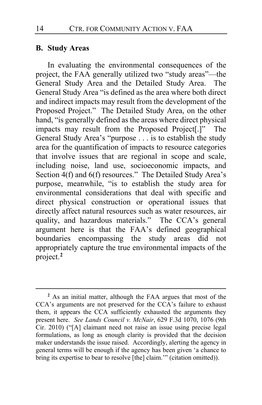## **B. Study Areas**

In evaluating the environmental consequences of the project, the FAA generally utilized two "study areas"—the General Study Area and the Detailed Study Area. The General Study Area "is defined as the area where both direct and indirect impacts may result from the development of the Proposed Project." The Detailed Study Area, on the other hand, "is generally defined as the areas where direct physical impacts may result from the Proposed Project<sup>[.]"</sup> The General Study Area's "purpose . . . is to establish the study area for the quantification of impacts to resource categories that involve issues that are regional in scope and scale, including noise, land use, socioeconomic impacts, and Section 4(f) and 6(f) resources." The Detailed Study Area's purpose, meanwhile, "is to establish the study area for environmental considerations that deal with specific and direct physical construction or operational issues that directly affect natural resources such as water resources, air quality, and hazardous materials." The CCA's general argument here is that the FAA's defined geographical boundaries encompassing the study areas did not appropriately capture the true environmental impacts of the project.**[2](#page-13-0)**

<span id="page-13-0"></span>**<sup>2</sup>** As an initial matter, although the FAA argues that most of the CCA's arguments are not preserved for the CCA's failure to exhaust them, it appears the CCA sufficiently exhausted the arguments they present here. *See Lands Council v. McNair*, 629 F.3d 1070, 1076 (9th Cir. 2010) ("[A] claimant need not raise an issue using precise legal formulations, as long as enough clarity is provided that the decision maker understands the issue raised. Accordingly, alerting the agency in general terms will be enough if the agency has been given 'a chance to bring its expertise to bear to resolve [the] claim.'" (citation omitted)).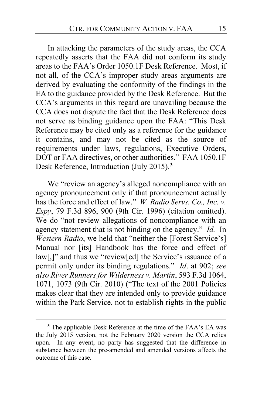In attacking the parameters of the study areas, the CCA repeatedly asserts that the FAA did not conform its study areas to the FAA's Order 1050.1F Desk Reference. Most, if not all, of the CCA's improper study areas arguments are derived by evaluating the conformity of the findings in the EA to the guidance provided by the Desk Reference. But the CCA's arguments in this regard are unavailing because the CCA does not dispute the fact that the Desk Reference does not serve as binding guidance upon the FAA: "This Desk Reference may be cited only as a reference for the guidance it contains, and may not be cited as the source of requirements under laws, regulations, Executive Orders, DOT or FAA directives, or other authorities." FAA 1050.1F Desk Reference, Introduction (July 2015).**[3](#page-14-0)**

We "review an agency's alleged noncompliance with an agency pronouncement only if that pronouncement actually has the force and effect of law." *W. Radio Servs. Co., Inc. v. Espy*, 79 F.3d 896, 900 (9th Cir. 1996) (citation omitted). We do "not review allegations of noncompliance with an agency statement that is not binding on the agency." *Id.* In *Western Radio*, we held that "neither the [Forest Service's] Manual nor [its] Handbook has the force and effect of law[,]" and thus we "review[ed] the Service's issuance of a permit only under its binding regulations." *Id*. at 902; *see also River Runners for Wilderness v. Martin*, 593 F.3d 1064, 1071, 1073 (9th Cir. 2010) ("The text of the 2001 Policies makes clear that they are intended only to provide guidance within the Park Service, not to establish rights in the public

<span id="page-14-0"></span>**<sup>3</sup>** The applicable Desk Reference at the time of the FAA's EA was the July 2015 version, not the February 2020 version the CCA relies upon. In any event, no party has suggested that the difference in substance between the pre-amended and amended versions affects the outcome of this case.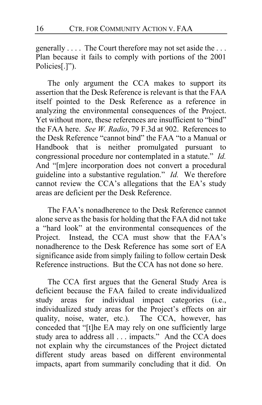generally . . . . The Court therefore may not set aside the . . . Plan because it fails to comply with portions of the 2001 Policies[.]").

The only argument the CCA makes to support its assertion that the Desk Reference is relevant is that the FAA itself pointed to the Desk Reference as a reference in analyzing the environmental consequences of the Project. Yet without more, these references are insufficient to "bind" the FAA here. *See W. Radio*, 79 F.3d at 902. References to the Desk Reference "cannot bind" the FAA "to a Manual or Handbook that is neither promulgated pursuant to congressional procedure nor contemplated in a statute." *Id.* And "[m]ere incorporation does not convert a procedural guideline into a substantive regulation." *Id.* We therefore cannot review the CCA's allegations that the EA's study areas are deficient per the Desk Reference.

The FAA's nonadherence to the Desk Reference cannot alone serve as the basis for holding that the FAA did not take a "hard look" at the environmental consequences of the Project. Instead, the CCA must show that the FAA's nonadherence to the Desk Reference has some sort of EA significance aside from simply failing to follow certain Desk Reference instructions. But the CCA has not done so here.

The CCA first argues that the General Study Area is deficient because the FAA failed to create individualized study areas for individual impact categories (i.e., individualized study areas for the Project's effects on air quality, noise, water, etc.). The CCA, however, has conceded that "[t]he EA may rely on one sufficiently large study area to address all . . . impacts." And the CCA does not explain why the circumstances of the Project dictated different study areas based on different environmental impacts, apart from summarily concluding that it did. On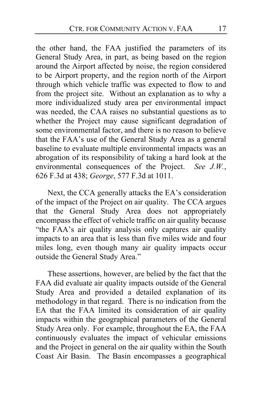the other hand, the FAA justified the parameters of its General Study Area, in part, as being based on the region around the Airport affected by noise, the region considered to be Airport property, and the region north of the Airport through which vehicle traffic was expected to flow to and from the project site. Without an explanation as to why a more individualized study area per environmental impact was needed, the CAA raises no substantial questions as to whether the Project may cause significant degradation of some environmental factor, and there is no reason to believe that the FAA's use of the General Study Area as a general baseline to evaluate multiple environmental impacts was an abrogation of its responsibility of taking a hard look at the environmental consequences of the Project. *See J.W.*, 626 F.3d at 438; *George*, 577 F.3d at 1011.

Next, the CCA generally attacks the EA's consideration of the impact of the Project on air quality. The CCA argues that the General Study Area does not appropriately encompass the effect of vehicle traffic on air quality because "the FAA's air quality analysis only captures air quality impacts to an area that is less than five miles wide and four miles long, even though many air quality impacts occur outside the General Study Area."

These assertions, however, are belied by the fact that the FAA did evaluate air quality impacts outside of the General Study Area and provided a detailed explanation of its methodology in that regard. There is no indication from the EA that the FAA limited its consideration of air quality impacts within the geographical parameters of the General Study Area only. For example, throughout the EA, the FAA continuously evaluates the impact of vehicular emissions and the Project in general on the air quality within the South Coast Air Basin. The Basin encompasses a geographical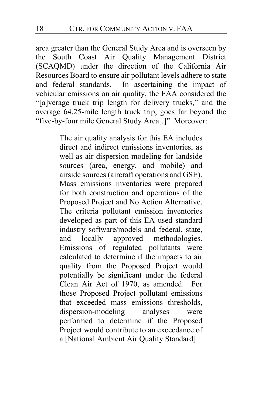area greater than the General Study Area and is overseen by the South Coast Air Quality Management District (SCAQMD) under the direction of the California Air Resources Board to ensure air pollutant levels adhere to state and federal standards. In ascertaining the impact of vehicular emissions on air quality, the FAA considered the "[a]verage truck trip length for delivery trucks," and the average 64.25-mile length truck trip, goes far beyond the "five-by-four mile General Study Area[.]" Moreover:

> The air quality analysis for this EA includes direct and indirect emissions inventories, as well as air dispersion modeling for landside sources (area, energy, and mobile) and airside sources (aircraft operations and GSE). Mass emissions inventories were prepared for both construction and operations of the Proposed Project and No Action Alternative. The criteria pollutant emission inventories developed as part of this EA used standard industry software/models and federal, state, and locally approved methodologies. Emissions of regulated pollutants were calculated to determine if the impacts to air quality from the Proposed Project would potentially be significant under the federal Clean Air Act of 1970, as amended. For those Proposed Project pollutant emissions that exceeded mass emissions thresholds, dispersion-modeling analyses were performed to determine if the Proposed Project would contribute to an exceedance of a [National Ambient Air Quality Standard].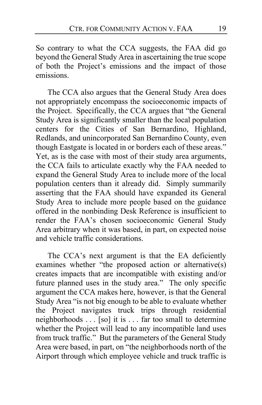So contrary to what the CCA suggests, the FAA did go beyond the General Study Area in ascertaining the true scope of both the Project's emissions and the impact of those emissions.

The CCA also argues that the General Study Area does not appropriately encompass the socioeconomic impacts of the Project. Specifically, the CCA argues that "the General Study Area is significantly smaller than the local population centers for the Cities of San Bernardino, Highland, Redlands, and unincorporated San Bernardino County, even though Eastgate is located in or borders each of these areas." Yet, as is the case with most of their study area arguments, the CCA fails to articulate exactly why the FAA needed to expand the General Study Area to include more of the local population centers than it already did. Simply summarily asserting that the FAA should have expanded its General Study Area to include more people based on the guidance offered in the nonbinding Desk Reference is insufficient to render the FAA's chosen socioeconomic General Study Area arbitrary when it was based, in part, on expected noise and vehicle traffic considerations.

The CCA's next argument is that the EA deficiently examines whether "the proposed action or alternative(s) creates impacts that are incompatible with existing and/or future planned uses in the study area." The only specific argument the CCA makes here, however, is that the General Study Area "is not big enough to be able to evaluate whether the Project navigates truck trips through residential neighborhoods . . . [so] it is . . . far too small to determine whether the Project will lead to any incompatible land uses from truck traffic." But the parameters of the General Study Area were based, in part, on "the neighborhoods north of the Airport through which employee vehicle and truck traffic is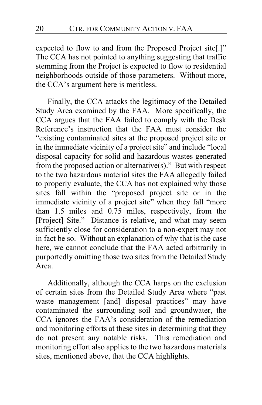expected to flow to and from the Proposed Project site[.]" The CCA has not pointed to anything suggesting that traffic stemming from the Project is expected to flow to residential neighborhoods outside of those parameters. Without more, the CCA's argument here is meritless.

Finally, the CCA attacks the legitimacy of the Detailed Study Area examined by the FAA. More specifically, the CCA argues that the FAA failed to comply with the Desk Reference's instruction that the FAA must consider the "existing contaminated sites at the proposed project site or in the immediate vicinity of a project site" and include "local disposal capacity for solid and hazardous wastes generated from the proposed action or alternative(s)." But with respect to the two hazardous material sites the FAA allegedly failed to properly evaluate, the CCA has not explained why those sites fall within the "proposed project site or in the immediate vicinity of a project site" when they fall "more than 1.5 miles and 0.75 miles, respectively, from the [Project] Site." Distance is relative, and what may seem sufficiently close for consideration to a non-expert may not in fact be so. Without an explanation of why that is the case here, we cannot conclude that the FAA acted arbitrarily in purportedly omitting those two sites from the Detailed Study Area.

Additionally, although the CCA harps on the exclusion of certain sites from the Detailed Study Area where "past waste management [and] disposal practices" may have contaminated the surrounding soil and groundwater, the CCA ignores the FAA's consideration of the remediation and monitoring efforts at these sites in determining that they do not present any notable risks. This remediation and monitoring effort also applies to the two hazardous materials sites, mentioned above, that the CCA highlights.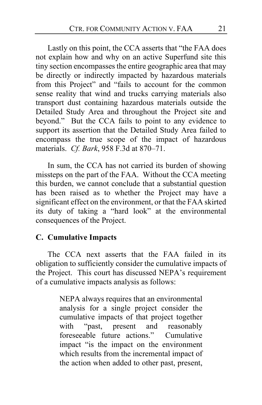Lastly on this point, the CCA asserts that "the FAA does not explain how and why on an active Superfund site this tiny section encompasses the entire geographic area that may be directly or indirectly impacted by hazardous materials from this Project" and "fails to account for the common sense reality that wind and trucks carrying materials also transport dust containing hazardous materials outside the Detailed Study Area and throughout the Project site and beyond." But the CCA fails to point to any evidence to support its assertion that the Detailed Study Area failed to encompass the true scope of the impact of hazardous materials. *Cf. Bark*, 958 F.3d at 870–71.

In sum, the CCA has not carried its burden of showing missteps on the part of the FAA. Without the CCA meeting this burden, we cannot conclude that a substantial question has been raised as to whether the Project may have a significant effect on the environment, or that the FAA skirted its duty of taking a "hard look" at the environmental consequences of the Project.

## **C. Cumulative Impacts**

The CCA next asserts that the FAA failed in its obligation to sufficiently consider the cumulative impacts of the Project. This court has discussed NEPA's requirement of a cumulative impacts analysis as follows:

> NEPA always requires that an environmental analysis for a single project consider the cumulative impacts of that project together with "past, present and reasonably foreseeable future actions." Cumulative impact "is the impact on the environment which results from the incremental impact of the action when added to other past, present,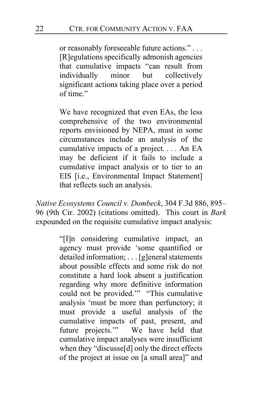or reasonably foreseeable future actions." . . . [R]egulations specifically admonish agencies that cumulative impacts "can result from individually minor but collectively significant actions taking place over a period of time."

We have recognized that even EAs, the less comprehensive of the two environmental reports envisioned by NEPA, must in some circumstances include an analysis of the cumulative impacts of a project. . . . An EA may be deficient if it fails to include a cumulative impact analysis or to tier to an EIS [i.e., Environmental Impact Statement] that reflects such an analysis.

*Native Ecosystems Council v. Dombeck*, 304 F.3d 886, 895– 96 (9th Cir. 2002) (citations omitted). This court in *Bark* expounded on the requisite cumulative impact analysis:

> "[I]n considering cumulative impact, an agency must provide 'some quantified or detailed information; . . . [g]eneral statements about possible effects and some risk do not constitute a hard look absent a justification regarding why more definitive information could not be provided.'" "This cumulative analysis 'must be more than perfunctory; it must provide a useful analysis of the cumulative impacts of past, present, and future projects.'" We have held that cumulative impact analyses were insufficient when they "discusse[d] only the direct effects of the project at issue on [a small area]" and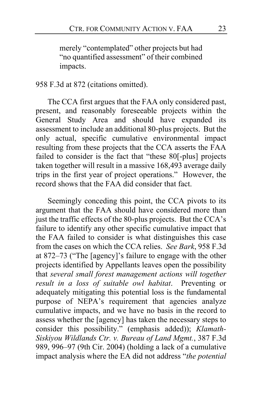merely "contemplated" other projects but had "no quantified assessment" of their combined impacts.

## 958 F.3d at 872 (citations omitted).

The CCA first argues that the FAA only considered past, present, and reasonably foreseeable projects within the General Study Area and should have expanded its assessment to include an additional 80-plus projects. But the only actual, specific cumulative environmental impact resulting from these projects that the CCA asserts the FAA failed to consider is the fact that "these 80[-plus] projects taken together will result in a massive 168,493 average daily trips in the first year of project operations." However, the record shows that the FAA did consider that fact.

Seemingly conceding this point, the CCA pivots to its argument that the FAA should have considered more than just the traffic effects of the 80-plus projects. But the CCA's failure to identify any other specific cumulative impact that the FAA failed to consider is what distinguishes this case from the cases on which the CCA relies. *See Bark*, 958 F.3d at 872–73 ("The [agency]'s failure to engage with the other projects identified by Appellants leaves open the possibility that *several small forest management actions will together result in a loss of suitable owl habitat*. Preventing or adequately mitigating this potential loss is the fundamental purpose of NEPA's requirement that agencies analyze cumulative impacts, and we have no basis in the record to assess whether the [agency] has taken the necessary steps to consider this possibility." (emphasis added)); *Klamath-Siskiyou Wildlands Ctr. v. Bureau of Land Mgmt.*, 387 F.3d 989, 996–97 (9th Cir. 2004) (holding a lack of a cumulative impact analysis where the EA did not address "*the potential*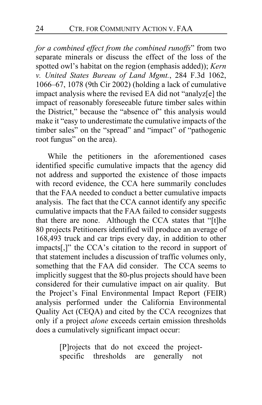*for a combined effect from the combined runoffs*" from two separate minerals or discuss the effect of the loss of the spotted owl's habitat on the region (emphasis added)); *Kern v. United States Bureau of Land Mgmt.*, 284 F.3d 1062, 1066–67, 1078 (9th Cir 2002) (holding a lack of cumulative impact analysis where the revised EA did not "analyz[e] the impact of reasonably foreseeable future timber sales within the District," because the "absence of" this analysis would make it "easy to underestimate the cumulative impacts of the timber sales" on the "spread" and "impact" of "pathogenic root fungus" on the area).

While the petitioners in the aforementioned cases identified specific cumulative impacts that the agency did not address and supported the existence of those impacts with record evidence, the CCA here summarily concludes that the FAA needed to conduct a better cumulative impacts analysis. The fact that the CCA cannot identify any specific cumulative impacts that the FAA failed to consider suggests that there are none. Although the CCA states that "[t]he 80 projects Petitioners identified will produce an average of 168,493 truck and car trips every day, in addition to other impacts[,]" the CCA's citation to the record in support of that statement includes a discussion of traffic volumes only, something that the FAA did consider. The CCA seems to implicitly suggest that the 80-plus projects should have been considered for their cumulative impact on air quality. But the Project's Final Environmental Impact Report (FEIR) analysis performed under the California Environmental Quality Act (CEQA) and cited by the CCA recognizes that only if a project *alone* exceeds certain emission thresholds does a cumulatively significant impact occur:

> [P]rojects that do not exceed the projectspecific thresholds are generally not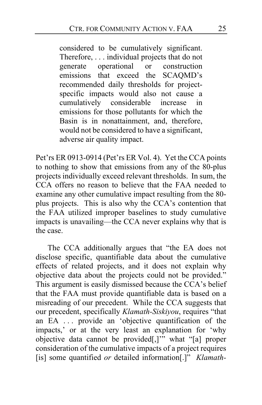considered to be cumulatively significant. Therefore, . . . individual projects that do not generate operational or construction emissions that exceed the SCAQMD's recommended daily thresholds for projectspecific impacts would also not cause a cumulatively considerable increase in emissions for those pollutants for which the Basin is in nonattainment, and, therefore, would not be considered to have a significant, adverse air quality impact.

Pet'rs ER 0913-0914 (Pet'rs ER Vol. 4). Yet the CCA points to nothing to show that emissions from any of the 80-plus projects individually exceed relevant thresholds. In sum, the CCA offers no reason to believe that the FAA needed to examine any other cumulative impact resulting from the 80 plus projects. This is also why the CCA's contention that the FAA utilized improper baselines to study cumulative impacts is unavailing—the CCA never explains why that is the case.

The CCA additionally argues that "the EA does not disclose specific, quantifiable data about the cumulative effects of related projects, and it does not explain why objective data about the projects could not be provided." This argument is easily dismissed because the CCA's belief that the FAA must provide quantifiable data is based on a misreading of our precedent. While the CCA suggests that our precedent, specifically *Klamath-Siskiyou*, requires "that an EA . . . provide an 'objective quantification of the impacts,' or at the very least an explanation for 'why objective data cannot be provided[,]'" what "[a] proper consideration of the cumulative impacts of a project requires [is] some quantified *or* detailed information[.]" *Klamath-*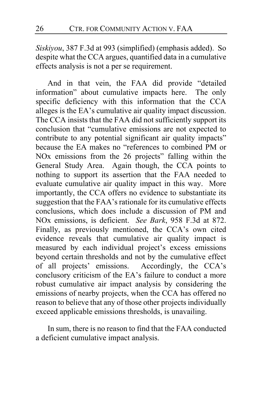*Siskiyou*, 387 F.3d at 993 (simplified) (emphasis added). So despite what the CCA argues, quantified data in a cumulative effects analysis is not a per se requirement.

And in that vein, the FAA did provide "detailed information" about cumulative impacts here. The only specific deficiency with this information that the CCA alleges is the EA's cumulative air quality impact discussion. The CCA insists that the FAA did not sufficiently support its conclusion that "cumulative emissions are not expected to contribute to any potential significant air quality impacts" because the EA makes no "references to combined PM or NOx emissions from the 26 projects" falling within the General Study Area. Again though, the CCA points to nothing to support its assertion that the FAA needed to evaluate cumulative air quality impact in this way. More importantly, the CCA offers no evidence to substantiate its suggestion that the FAA's rationale for its cumulative effects conclusions, which does include a discussion of PM and NOx emissions, is deficient. *See Bark*, 958 F.3d at 872. Finally, as previously mentioned, the CCA's own cited evidence reveals that cumulative air quality impact is measured by each individual project's excess emissions beyond certain thresholds and not by the cumulative effect of all projects' emissions. Accordingly, the CCA's conclusory criticism of the EA's failure to conduct a more robust cumulative air impact analysis by considering the emissions of nearby projects, when the CCA has offered no reason to believe that any of those other projects individually exceed applicable emissions thresholds, is unavailing.

In sum, there is no reason to find that the FAA conducted a deficient cumulative impact analysis.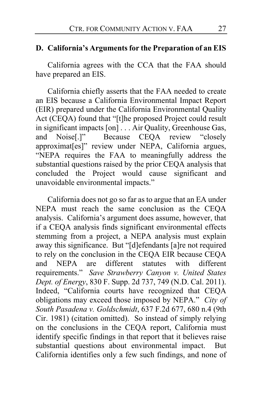## **D. California's Arguments for the Preparation of an EIS**

California agrees with the CCA that the FAA should have prepared an EIS.

California chiefly asserts that the FAA needed to create an EIS because a California Environmental Impact Report (EIR) prepared under the California Environmental Quality Act (CEQA) found that "[t]he proposed Project could result in significant impacts [on] . . . Air Quality, Greenhouse Gas, and Noise[.]" Because CEQA review "closely approximat[es]" review under NEPA, California argues, "NEPA requires the FAA to meaningfully address the substantial questions raised by the prior CEQA analysis that concluded the Project would cause significant and unavoidable environmental impacts."

California does not go so far as to argue that an EA under NEPA must reach the same conclusion as the CEQA analysis. California's argument does assume, however, that if a CEQA analysis finds significant environmental effects stemming from a project, a NEPA analysis must explain away this significance. But "[d]efendants [a]re not required to rely on the conclusion in the CEQA EIR because CEQA and NEPA are different statutes with different requirements." *Save Strawberry Canyon v. United States Dept. of Energy*, 830 F. Supp. 2d 737, 749 (N.D. Cal. 2011). Indeed, "California courts have recognized that CEQA obligations may exceed those imposed by NEPA." *City of South Pasadena v. Goldschmidt*, 637 F.2d 677, 680 n.4 (9th Cir. 1981) (citation omitted). So instead of simply relying on the conclusions in the CEQA report, California must identify specific findings in that report that it believes raise substantial questions about environmental impact. But California identifies only a few such findings, and none of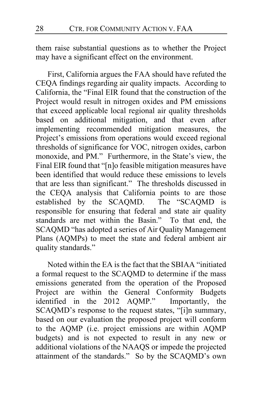them raise substantial questions as to whether the Project may have a significant effect on the environment.

First, California argues the FAA should have refuted the CEQA findings regarding air quality impacts. According to California, the "Final EIR found that the construction of the Project would result in nitrogen oxides and PM emissions that exceed applicable local regional air quality thresholds based on additional mitigation, and that even after implementing recommended mitigation measures, the Project's emissions from operations would exceed regional thresholds of significance for VOC, nitrogen oxides, carbon monoxide, and PM." Furthermore, in the State's view, the Final EIR found that "[n]o feasible mitigation measures have been identified that would reduce these emissions to levels that are less than significant." The thresholds discussed in the CEQA analysis that California points to are those established by the SCAQMD. The "SCAQMD is responsible for ensuring that federal and state air quality standards are met within the Basin." To that end, the SCAQMD "has adopted a series of Air Quality Management Plans (AQMPs) to meet the state and federal ambient air quality standards."

Noted within the EA is the fact that the SBIAA "initiated a formal request to the SCAQMD to determine if the mass emissions generated from the operation of the Proposed Project are within the General Conformity Budgets identified in the 2012 AQMP." Importantly, the SCAQMD's response to the request states, "[i]n summary, based on our evaluation the proposed project will conform to the AQMP (i.e. project emissions are within AQMP budgets) and is not expected to result in any new or additional violations of the NAAQS or impede the projected attainment of the standards." So by the SCAQMD's own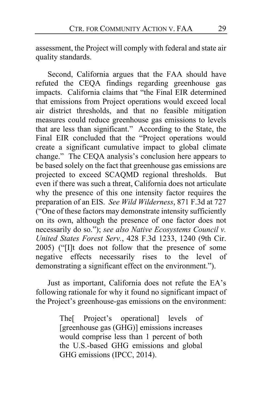assessment, the Project will comply with federal and state air quality standards.

Second, California argues that the FAA should have refuted the CEQA findings regarding greenhouse gas impacts. California claims that "the Final EIR determined that emissions from Project operations would exceed local air district thresholds, and that no feasible mitigation measures could reduce greenhouse gas emissions to levels that are less than significant." According to the State, the Final EIR concluded that the "Project operations would create a significant cumulative impact to global climate change." The CEQA analysis's conclusion here appears to be based solely on the fact that greenhouse gas emissions are projected to exceed SCAQMD regional thresholds. But even if there was such a threat, California does not articulate why the presence of this one intensity factor requires the preparation of an EIS. *See Wild Wilderness*, 871 F.3d at 727 ("One of these factors may demonstrate intensity sufficiently on its own, although the presence of one factor does not necessarily do so."); *see also Native Ecosystems Council v. United States Forest Serv.*, 428 F.3d 1233, 1240 (9th Cir. 2005) ("[I]t does not follow that the presence of some negative effects necessarily rises to the level of demonstrating a significant effect on the environment.").

Just as important, California does not refute the EA's following rationale for why it found no significant impact of the Project's greenhouse-gas emissions on the environment:

> The[ Project's operational] levels of [greenhouse gas (GHG)] emissions increases would comprise less than 1 percent of both the U.S.-based GHG emissions and global GHG emissions (IPCC, 2014).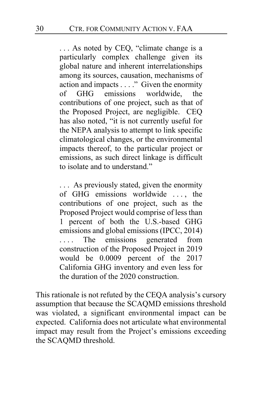... As noted by CEQ, "climate change is a particularly complex challenge given its global nature and inherent interrelationships among its sources, causation, mechanisms of action and impacts . . . ." Given the enormity of GHG emissions worldwide, the contributions of one project, such as that of the Proposed Project, are negligible. CEQ has also noted, "it is not currently useful for the NEPA analysis to attempt to link specific climatological changes, or the environmental impacts thereof, to the particular project or emissions, as such direct linkage is difficult to isolate and to understand."

. . . As previously stated, given the enormity of GHG emissions worldwide . . . , the contributions of one project, such as the Proposed Project would comprise of less than 1 percent of both the U.S.-based GHG emissions and global emissions (IPCC, 2014) .... The emissions generated from construction of the Proposed Project in 2019 would be 0.0009 percent of the 2017 California GHG inventory and even less for the duration of the 2020 construction.

This rationale is not refuted by the CEQA analysis's cursory assumption that because the SCAQMD emissions threshold was violated, a significant environmental impact can be expected. California does not articulate what environmental impact may result from the Project's emissions exceeding the SCAQMD threshold.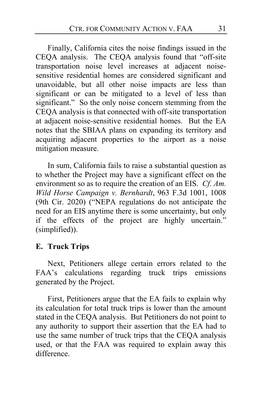Finally, California cites the noise findings issued in the CEQA analysis. The CEQA analysis found that "off-site transportation noise level increases at adjacent noisesensitive residential homes are considered significant and unavoidable, but all other noise impacts are less than significant or can be mitigated to a level of less than significant." So the only noise concern stemming from the CEQA analysis is that connected with off-site transportation at adjacent noise-sensitive residential homes. But the EA notes that the SBIAA plans on expanding its territory and acquiring adjacent properties to the airport as a noise mitigation measure.

In sum, California fails to raise a substantial question as to whether the Project may have a significant effect on the environment so as to require the creation of an EIS. *Cf. Am. Wild Horse Campaign v. Bernhardt*, 963 F.3d 1001, 1008 (9th Cir. 2020) ("NEPA regulations do not anticipate the need for an EIS anytime there is some uncertainty, but only if the effects of the project are highly uncertain." (simplified)).

## **E. Truck Trips**

Next, Petitioners allege certain errors related to the FAA's calculations regarding truck trips emissions generated by the Project.

First, Petitioners argue that the EA fails to explain why its calculation for total truck trips is lower than the amount stated in the CEQA analysis. But Petitioners do not point to any authority to support their assertion that the EA had to use the same number of truck trips that the CEQA analysis used, or that the FAA was required to explain away this difference.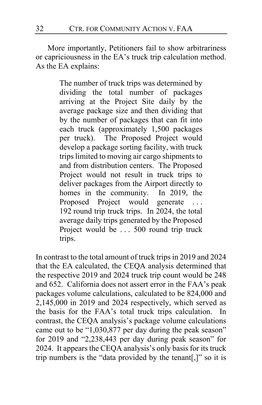More importantly, Petitioners fail to show arbitrariness or capriciousness in the EA's truck trip calculation method. As the EA explains:

> The number of truck trips was determined by dividing the total number of packages arriving at the Project Site daily by the average package size and then dividing that by the number of packages that can fit into each truck (approximately 1,500 packages per truck). The Proposed Project would develop a package sorting facility, with truck trips limited to moving air cargo shipments to and from distribution centers. The Proposed Project would not result in truck trips to deliver packages from the Airport directly to homes in the community. In 2019, the Proposed Project would generate . . . 192 round trip truck trips. In 2024, the total average daily trips generated by the Proposed Project would be ... 500 round trip truck trips.

In contrast to the total amount of truck trips in 2019 and 2024 that the EA calculated, the CEQA analysis determined that the respective 2019 and 2024 truck trip count would be 248 and 652. California does not assert error in the FAA's peak packages volume calculations, calculated to be 824,000 and 2,145,000 in 2019 and 2024 respectively, which served as the basis for the FAA's total truck trips calculation. In contrast, the CEQA analysis's package volume calculations came out to be "1,030,877 per day during the peak season" for 2019 and "2,238,443 per day during peak season" for 2024. It appears the CEQA analysis's only basis for its truck trip numbers is the "data provided by the tenant[,]" so it is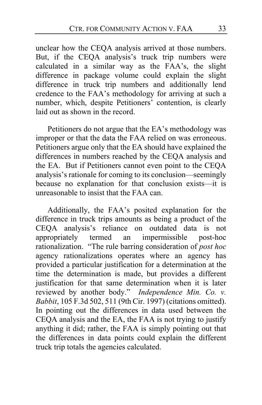unclear how the CEQA analysis arrived at those numbers. But, if the CEQA analysis's truck trip numbers were calculated in a similar way as the FAA's, the slight difference in package volume could explain the slight difference in truck trip numbers and additionally lend credence to the FAA's methodology for arriving at such a number, which, despite Petitioners' contention, is clearly laid out as shown in the record.

Petitioners do not argue that the EA's methodology was improper or that the data the FAA relied on was erroneous. Petitioners argue only that the EA should have explained the differences in numbers reached by the CEQA analysis and the EA. But if Petitioners cannot even point to the CEQA analysis's rationale for coming to its conclusion—seemingly because no explanation for that conclusion exists—it is unreasonable to insist that the FAA can.

Additionally, the FAA's posited explanation for the difference in truck trips amounts as being a product of the CEQA analysis's reliance on outdated data is not appropriately termed an impermissible post-hoc rationalization. "The rule barring consideration of *post hoc*  agency rationalizations operates where an agency has provided a particular justification for a determination at the time the determination is made, but provides a different justification for that same determination when it is later reviewed by another body." *Independence Min. Co. v. Babbit*, 105 F.3d 502, 511 (9th Cir. 1997) (citations omitted). In pointing out the differences in data used between the CEQA analysis and the EA, the FAA is not trying to justify anything it did; rather, the FAA is simply pointing out that the differences in data points could explain the different truck trip totals the agencies calculated.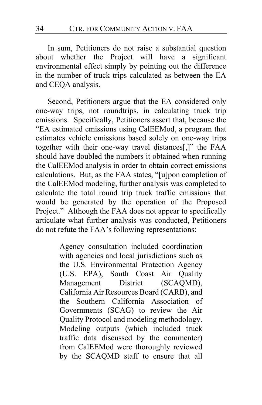In sum, Petitioners do not raise a substantial question about whether the Project will have a significant environmental effect simply by pointing out the difference in the number of truck trips calculated as between the EA and CEQA analysis.

Second, Petitioners argue that the EA considered only one-way trips, not roundtrips, in calculating truck trip emissions. Specifically, Petitioners assert that, because the "EA estimated emissions using CalEEMod, a program that estimates vehicle emissions based solely on one-way trips together with their one-way travel distances[,]" the FAA should have doubled the numbers it obtained when running the CalEEMod analysis in order to obtain correct emissions calculations. But, as the FAA states, "[u]pon completion of the CalEEMod modeling, further analysis was completed to calculate the total round trip truck traffic emissions that would be generated by the operation of the Proposed Project." Although the FAA does not appear to specifically articulate what further analysis was conducted, Petitioners do not refute the FAA's following representations:

> Agency consultation included coordination with agencies and local jurisdictions such as the U.S. Environmental Protection Agency (U.S. EPA), South Coast Air Quality Management District (SCAQMD), California Air Resources Board (CARB), and the Southern California Association of Governments (SCAG) to review the Air Quality Protocol and modeling methodology. Modeling outputs (which included truck traffic data discussed by the commenter) from CalEEMod were thoroughly reviewed by the SCAQMD staff to ensure that all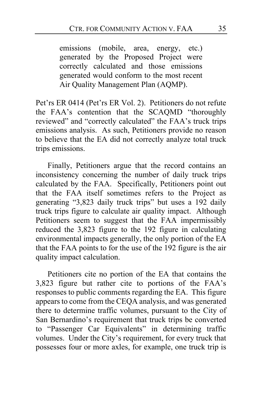emissions (mobile, area, energy, etc.) generated by the Proposed Project were correctly calculated and those emissions generated would conform to the most recent Air Quality Management Plan (AQMP).

Pet'rs ER 0414 (Pet'rs ER Vol. 2). Petitioners do not refute the FAA's contention that the SCAQMD "thoroughly reviewed" and "correctly calculated" the FAA's truck trips emissions analysis. As such, Petitioners provide no reason to believe that the EA did not correctly analyze total truck trips emissions.

Finally, Petitioners argue that the record contains an inconsistency concerning the number of daily truck trips calculated by the FAA. Specifically, Petitioners point out that the FAA itself sometimes refers to the Project as generating "3,823 daily truck trips" but uses a 192 daily truck trips figure to calculate air quality impact. Although Petitioners seem to suggest that the FAA impermissibly reduced the 3,823 figure to the 192 figure in calculating environmental impacts generally, the only portion of the EA that the FAA points to for the use of the 192 figure is the air quality impact calculation.

Petitioners cite no portion of the EA that contains the 3,823 figure but rather cite to portions of the FAA's responses to public comments regarding the EA. This figure appears to come from the CEQA analysis, and was generated there to determine traffic volumes, pursuant to the City of San Bernardino's requirement that truck trips be converted to "Passenger Car Equivalents" in determining traffic volumes. Under the City's requirement, for every truck that possesses four or more axles, for example, one truck trip is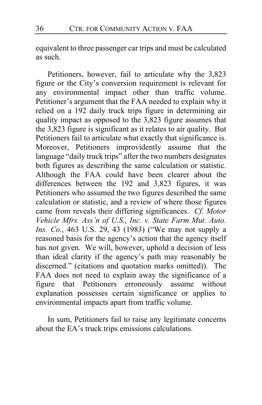equivalent to three passenger car trips and must be calculated as such.

Petitioners, however, fail to articulate why the 3,823 figure or the City's conversion requirement is relevant for any environmental impact other than traffic volume. Petitioner's argument that the FAA needed to explain why it relied on a 192 daily truck trips figure in determining air quality impact as opposed to the 3,823 figure assumes that the 3,823 figure is significant as it relates to air quality. But Petitioners fail to articulate what exactly that significance is. Moreover, Petitioners improvidently assume that the language "daily truck trips" after the two numbers designates both figures as describing the same calculation or statistic. Although the FAA could have been clearer about the differences between the 192 and 3,823 figures, it was Petitioners who assumed the two figures described the same calculation or statistic, and a review of where those figures came from reveals their differing significances. *Cf. Motor Vehicle Mfrs. Ass'n of U.S., Inc. v. State Farm Mut. Auto. Ins. Co.*, 463 U.S. 29, 43 (1983) ("We may not supply a reasoned basis for the agency's action that the agency itself has not given. We will, however, uphold a decision of less than ideal clarity if the agency's path may reasonably be discerned." (citations and quotation marks omitted)). The FAA does not need to explain away the significance of a figure that Petitioners erroneously assume without explanation possesses certain significance or applies to environmental impacts apart from traffic volume.

In sum, Petitioners fail to raise any legitimate concerns about the EA's truck trips emissions calculations.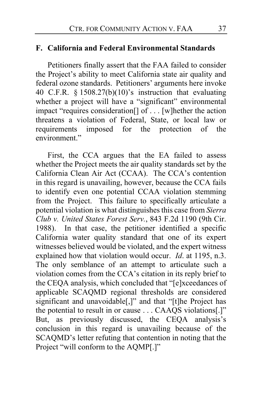#### **F. California and Federal Environmental Standards**

Petitioners finally assert that the FAA failed to consider the Project's ability to meet California state air quality and federal ozone standards. Petitioners' arguments here invoke 40 C.F.R. § 1508.27(b)(10)'s instruction that evaluating whether a project will have a "significant" environmental impact "requires consideration[] of . . . [w]hether the action threatens a violation of Federal, State, or local law or requirements imposed for the protection of the environment."

First, the CCA argues that the EA failed to assess whether the Project meets the air quality standards set by the California Clean Air Act (CCAA). The CCA's contention in this regard is unavailing, however, because the CCA fails to identify even one potential CCAA violation stemming from the Project. This failure to specifically articulate a potential violation is what distinguishes this case from *Sierra Club v. United States Forest Serv.*, 843 F.2d 1190 (9th Cir. 1988). In that case, the petitioner identified a specific California water quality standard that one of its expert witnesses believed would be violated, and the expert witness explained how that violation would occur. *Id*. at 1195, n.3. The only semblance of an attempt to articulate such a violation comes from the CCA's citation in its reply brief to the CEQA analysis, which concluded that "[e]xceedances of applicable SCAQMD regional thresholds are considered significant and unavoidable[,]" and that "[t]he Project has the potential to result in or cause . . . CAAQS violations[.]" But, as previously discussed, the CEQA analysis's conclusion in this regard is unavailing because of the SCAQMD's letter refuting that contention in noting that the Project "will conform to the AQMP[.]"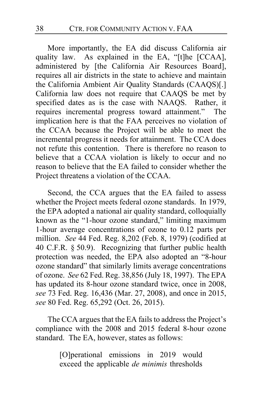More importantly, the EA did discuss California air quality law. As explained in the EA, "[t]he [CCAA], administered by [the California Air Resources Board], requires all air districts in the state to achieve and maintain the California Ambient Air Quality Standards (CAAQS)[.] California law does not require that CAAQS be met by specified dates as is the case with NAAQS. Rather, it requires incremental progress toward attainment." The implication here is that the FAA perceives no violation of the CCAA because the Project will be able to meet the incremental progress it needs for attainment. The CCA does not refute this contention. There is therefore no reason to believe that a CCAA violation is likely to occur and no reason to believe that the EA failed to consider whether the Project threatens a violation of the CCAA.

Second, the CCA argues that the EA failed to assess whether the Project meets federal ozone standards. In 1979, the EPA adopted a national air quality standard, colloquially known as the "1-hour ozone standard," limiting maximum 1-hour average concentrations of ozone to 0.12 parts per million. *See* 44 Fed. Reg. 8,202 (Feb. 8, 1979) (codified at 40 C.F.R. § 50.9). Recognizing that further public health protection was needed, the EPA also adopted an "8-hour ozone standard" that similarly limits average concentrations of ozone. *See* 62 Fed. Reg. 38,856 (July 18, 1997). The EPA has updated its 8-hour ozone standard twice, once in 2008, *see* 73 Fed. Reg. 16,436 (Mar. 27, 2008), and once in 2015, *see* 80 Fed. Reg. 65,292 (Oct. 26, 2015).

The CCA argues that the EA fails to address the Project's compliance with the 2008 and 2015 federal 8-hour ozone standard. The EA, however, states as follows:

> [O]perational emissions in 2019 would exceed the applicable *de minimis* thresholds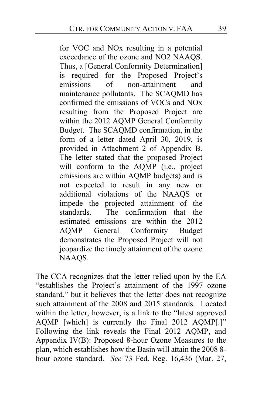for VOC and NOx resulting in a potential exceedance of the ozone and NO2 NAAQS. Thus, a [General Conformity Determination] is required for the Proposed Project's emissions of non-attainment and maintenance pollutants. The SCAQMD has confirmed the emissions of VOCs and NOx resulting from the Proposed Project are within the 2012 AQMP General Conformity Budget. The SCAQMD confirmation, in the form of a letter dated April 30, 2019, is provided in Attachment 2 of Appendix B. The letter stated that the proposed Project will conform to the AQMP (i.e., project emissions are within AQMP budgets) and is not expected to result in any new or additional violations of the NAAQS or impede the projected attainment of the standards. The confirmation that the estimated emissions are within the 2012 AQMP General Conformity Budget demonstrates the Proposed Project will not jeopardize the timely attainment of the ozone NAAQS.

The CCA recognizes that the letter relied upon by the EA "establishes the Project's attainment of the 1997 ozone standard," but it believes that the letter does not recognize such attainment of the 2008 and 2015 standards. Located within the letter, however, is a link to the "latest approved AQMP [which] is currently the Final 2012 AQMP[.]" Following the link reveals the Final 2012 AQMP, and Appendix IV(B): Proposed 8-hour Ozone Measures to the plan, which establishes how the Basin will attain the 2008 8 hour ozone standard. *See* 73 Fed. Reg. 16,436 (Mar. 27,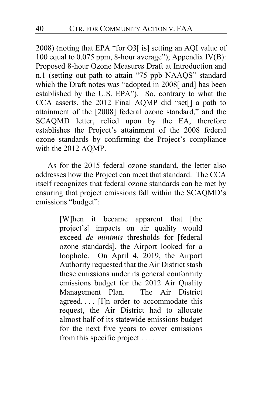2008) (noting that EPA "for O3[ is] setting an AQI value of 100 equal to 0.075 ppm, 8-hour average"); Appendix IV(B): Proposed 8-hour Ozone Measures Draft at Introduction and n.1 (setting out path to attain "75 ppb NAAQS" standard which the Draft notes was "adopted in 2008[ and] has been established by the U.S. EPA"). So, contrary to what the CCA asserts, the 2012 Final AQMP did "set[] a path to attainment of the [2008] federal ozone standard," and the SCAQMD letter, relied upon by the EA, therefore establishes the Project's attainment of the 2008 federal ozone standards by confirming the Project's compliance with the 2012 AQMP.

As for the 2015 federal ozone standard, the letter also addresses how the Project can meet that standard. The CCA itself recognizes that federal ozone standards can be met by ensuring that project emissions fall within the SCAQMD's emissions "budget":

> [W]hen it became apparent that [the project's] impacts on air quality would exceed *de minimis* thresholds for [federal ozone standards], the Airport looked for a loophole. On April 4, 2019, the Airport Authority requested that the Air District stash these emissions under its general conformity emissions budget for the 2012 Air Quality Management Plan. The Air District agreed. . . . [I]n order to accommodate this request, the Air District had to allocate almost half of its statewide emissions budget for the next five years to cover emissions from this specific project . . . .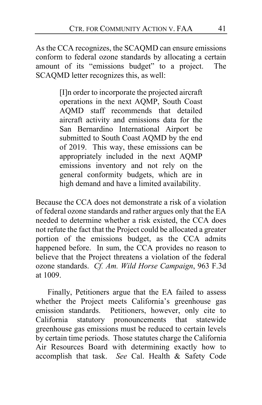As the CCA recognizes, the SCAQMD can ensure emissions conform to federal ozone standards by allocating a certain amount of its "emissions budget" to a project. The SCAQMD letter recognizes this, as well:

> [I]n order to incorporate the projected aircraft operations in the next AQMP, South Coast AQMD staff recommends that detailed aircraft activity and emissions data for the San Bernardino International Airport be submitted to South Coast AQMD by the end of 2019. This way, these emissions can be appropriately included in the next AQMP emissions inventory and not rely on the general conformity budgets, which are in high demand and have a limited availability.

Because the CCA does not demonstrate a risk of a violation of federal ozone standards and rather argues only that the EA needed to determine whether a risk existed, the CCA does not refute the fact that the Project could be allocated a greater portion of the emissions budget, as the CCA admits happened before. In sum, the CCA provides no reason to believe that the Project threatens a violation of the federal ozone standards. *Cf. Am. Wild Horse Campaign*, 963 F.3d at 1009.

Finally, Petitioners argue that the EA failed to assess whether the Project meets California's greenhouse gas emission standards. Petitioners, however, only cite to California statutory pronouncements that statewide greenhouse gas emissions must be reduced to certain levels by certain time periods. Those statutes charge the California Air Resources Board with determining exactly how to accomplish that task. *See* Cal. Health & Safety Code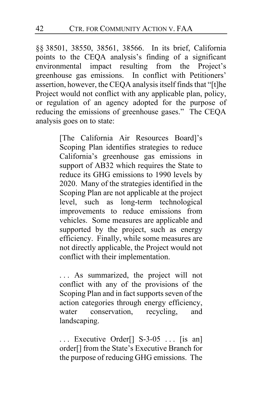§§ 38501, 38550, 38561, 38566. In its brief, California points to the CEQA analysis's finding of a significant environmental impact resulting from the Project's greenhouse gas emissions. In conflict with Petitioners' assertion, however, the CEQA analysis itself finds that "[t]he Project would not conflict with any applicable plan, policy, or regulation of an agency adopted for the purpose of reducing the emissions of greenhouse gases." The CEQA analysis goes on to state:

> [The California Air Resources Board]'s Scoping Plan identifies strategies to reduce California's greenhouse gas emissions in support of AB32 which requires the State to reduce its GHG emissions to 1990 levels by 2020. Many of the strategies identified in the Scoping Plan are not applicable at the project level, such as long-term technological improvements to reduce emissions from vehicles. Some measures are applicable and supported by the project, such as energy efficiency. Finally, while some measures are not directly applicable, the Project would not conflict with their implementation.

> . . . As summarized, the project will not conflict with any of the provisions of the Scoping Plan and in fact supports seven of the action categories through energy efficiency, water conservation, recycling, and landscaping.

> ... Executive Order<sup>[]</sup> S-3-05 ... [is an] order[] from the State's Executive Branch for the purpose of reducing GHG emissions. The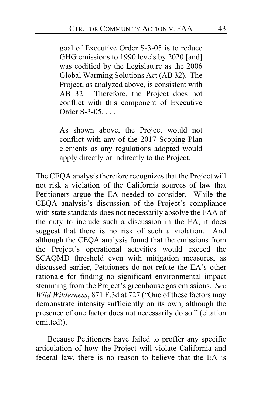goal of Executive Order S-3-05 is to reduce GHG emissions to 1990 levels by 2020 [and] was codified by the Legislature as the 2006 Global Warming Solutions Act (AB 32). The Project, as analyzed above, is consistent with AB 32. Therefore, the Project does not conflict with this component of Executive Order S-3-05. . . .

As shown above, the Project would not conflict with any of the 2017 Scoping Plan elements as any regulations adopted would apply directly or indirectly to the Project.

The CEQA analysis therefore recognizes that the Project will not risk a violation of the California sources of law that Petitioners argue the EA needed to consider. While the CEQA analysis's discussion of the Project's compliance with state standards does not necessarily absolve the FAA of the duty to include such a discussion in the EA, it does suggest that there is no risk of such a violation. And although the CEQA analysis found that the emissions from the Project's operational activities would exceed the SCAQMD threshold even with mitigation measures, as discussed earlier, Petitioners do not refute the EA's other rationale for finding no significant environmental impact stemming from the Project's greenhouse gas emissions. *See Wild Wilderness*, 871 F.3d at 727 ("One of these factors may demonstrate intensity sufficiently on its own, although the presence of one factor does not necessarily do so." (citation omitted)).

Because Petitioners have failed to proffer any specific articulation of how the Project will violate California and federal law, there is no reason to believe that the EA is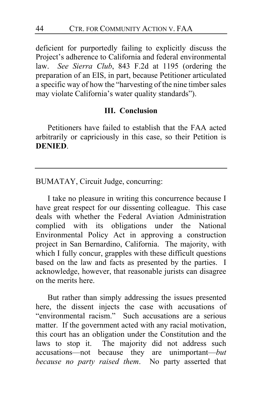deficient for purportedly failing to explicitly discuss the Project's adherence to California and federal environmental law. *See Sierra Club*, 843 F.2d at 1195 (ordering the preparation of an EIS, in part, because Petitioner articulated a specific way of how the "harvesting of the nine timber sales may violate California's water quality standards").

## **III. Conclusion**

Petitioners have failed to establish that the FAA acted arbitrarily or capriciously in this case, so their Petition is **DENIED**.

BUMATAY, Circuit Judge, concurring:

I take no pleasure in writing this concurrence because I have great respect for our dissenting colleague. This case deals with whether the Federal Aviation Administration complied with its obligations under the National Environmental Policy Act in approving a construction project in San Bernardino, California. The majority, with which I fully concur, grapples with these difficult questions based on the law and facts as presented by the parties. I acknowledge, however, that reasonable jurists can disagree on the merits here.

But rather than simply addressing the issues presented here, the dissent injects the case with accusations of "environmental racism." Such accusations are a serious matter. If the government acted with any racial motivation, this court has an obligation under the Constitution and the laws to stop it. The majority did not address such accusations—not because they are unimportant—*but because no party raised them*. No party asserted that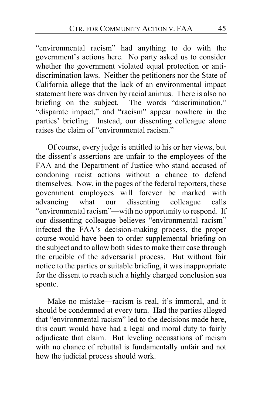"environmental racism" had anything to do with the government's actions here. No party asked us to consider whether the government violated equal protection or antidiscrimination laws. Neither the petitioners nor the State of California allege that the lack of an environmental impact statement here was driven by racial animus. There is also no briefing on the subject. The words "discrimination," "disparate impact," and "racism" appear nowhere in the parties' briefing. Instead, our dissenting colleague alone raises the claim of "environmental racism."

Of course, every judge is entitled to his or her views, but the dissent's assertions are unfair to the employees of the FAA and the Department of Justice who stand accused of condoning racist actions without a chance to defend themselves. Now, in the pages of the federal reporters, these government employees will forever be marked with advancing what our dissenting colleague calls "environmental racism"—with no opportunity to respond. If our dissenting colleague believes "environmental racism" infected the FAA's decision-making process, the proper course would have been to order supplemental briefing on the subject and to allow both sides to make their case through the crucible of the adversarial process. But without fair notice to the parties or suitable briefing, it was inappropriate for the dissent to reach such a highly charged conclusion sua sponte.

Make no mistake—racism is real, it's immoral, and it should be condemned at every turn. Had the parties alleged that "environmental racism" led to the decisions made here, this court would have had a legal and moral duty to fairly adjudicate that claim. But leveling accusations of racism with no chance of rebuttal is fundamentally unfair and not how the judicial process should work.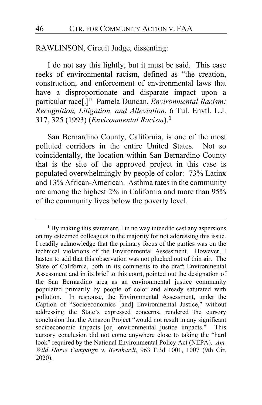RAWLINSON, Circuit Judge, dissenting:

I do not say this lightly, but it must be said. This case reeks of environmental racism, defined as "the creation, construction, and enforcement of environmental laws that have a disproportionate and disparate impact upon a particular race[.]" Pamela Duncan, *Environmental Racism: Recognition, Litigation, and Alleviation*, 6 Tul. Envtl. L.J. 317, 325 (1993) (*Environmental Racism*).**[1](#page-45-0)**

San Bernardino County, California, is one of the most polluted corridors in the entire United States. Not so coincidentally, the location within San Bernardino County that is the site of the approved project in this case is populated overwhelmingly by people of color: 73% Latinx and 13% African-American. Asthma rates in the community are among the highest 2% in California and more than 95% of the community lives below the poverty level.

<span id="page-45-0"></span>**<sup>1</sup>** By making this statement, I in no way intend to cast any aspersions on my esteemed colleagues in the majority for not addressing this issue. I readily acknowledge that the primary focus of the parties was on the technical violations of the Environmental Assessment. However, I hasten to add that this observation was not plucked out of thin air. The State of California, both in its comments to the draft Environmental Assessment and in its brief to this court, pointed out the designation of the San Bernardino area as an environmental justice community populated primarily by people of color and already saturated with pollution. In response, the Environmental Assessment, under the Caption of "Socioeconomics [and] Environmental Justice," without addressing the State's expressed concerns, rendered the cursory conclusion that the Amazon Project "would not result in any significant socioeconomic impacts [or] environmental justice impacts." This cursory conclusion did not come anywhere close to taking the "hard look" required by the National Environmental Policy Act (NEPA). *Am. Wild Horse Campaign v. Bernhardt*, 963 F.3d 1001, 1007 (9th Cir. 2020).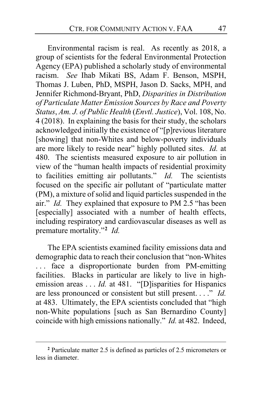Environmental racism is real. As recently as 2018, a group of scientists for the federal Environmental Protection Agency (EPA) published a scholarly study of environmental racism. *See* Ihab Mikati BS, Adam F. Benson, MSPH, Thomas J. Luben, PhD, MSPH, Jason D. Sacks, MPH, and Jennifer Richmond-Bryant, PhD, *Disparities in Distribution of Particulate Matter Emission Sources by Race and Poverty Status*, *Am. J. of Public Health* (*Envtl. Justice*), Vol. 108, No. 4 (2018). In explaining the basis for their study, the scholars acknowledged initially the existence of "[p]revious literature [showing] that non-Whites and below-poverty individuals are more likely to reside near" highly polluted sites. *Id.* at 480. The scientists measured exposure to air pollution in view of the "human health impacts of residential proximity to facilities emitting air pollutants." *Id.* The scientists focused on the specific air pollutant of "particulate matter (PM), a mixture of solid and liquid particles suspended in the air." *Id.* They explained that exposure to PM 2.5 "has been [especially] associated with a number of health effects, including respiratory and cardiovascular diseases as well as premature mortality."**[2](#page-46-0)** *Id.*

The EPA scientists examined facility emissions data and demographic data to reach their conclusion that "non-Whites . . . face a disproportionate burden from PM-emitting facilities. Blacks in particular are likely to live in highemission areas . . . *Id.* at 481. "[D]isparities for Hispanics are less pronounced or consistent but still present. . . ." *Id.* at 483. Ultimately, the EPA scientists concluded that "high non-White populations [such as San Bernardino County] coincide with high emissions nationally." *Id.* at 482. Indeed,

<span id="page-46-0"></span>**<sup>2</sup>** Particulate matter 2.5 is defined as particles of 2.5 micrometers or less in diameter.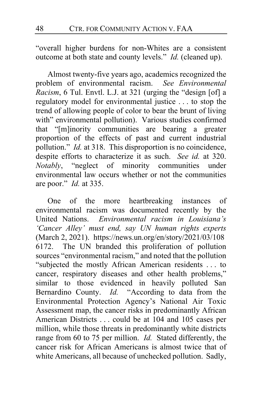"overall higher burdens for non-Whites are a consistent outcome at both state and county levels." *Id.* (cleaned up).

Almost twenty-five years ago, academics recognized the blem of environmental racism. See Environmental problem of environmental racism. *Racism*, 6 Tul. Envtl. L.J. at 321 (urging the "design [of] a regulatory model for environmental justice . . . to stop the trend of allowing people of color to bear the brunt of living with" environmental pollution). Various studies confirmed that "[m]inority communities are bearing a greater proportion of the effects of past and current industrial pollution." *Id.* at 318. This disproportion is no coincidence, despite efforts to characterize it as such. *See id.* at 320. *Notably*, "neglect of minority communities under environmental law occurs whether or not the communities are poor." *Id.* at 335.

One of the more heartbreaking instances of environmental racism was documented recently by the United Nations. *Environmental racism in Louisiana's 'Cancer Alley' must end, say UN human rights experts* (March 2, 2021). https://news.un.org/en/story/2021/03/108 6172. The UN branded this proliferation of pollution sources "environmental racism," and noted that the pollution "subjected the mostly African American residents . . . to cancer, respiratory diseases and other health problems," similar to those evidenced in heavily polluted San Bernardino County. *Id.* "According to data from the Environmental Protection Agency's National Air Toxic Assessment map, the cancer risks in predominantly African American Districts . . . could be at 104 and 105 cases per million, while those threats in predominantly white districts range from 60 to 75 per million. *Id.* Stated differently, the cancer risk for African Americans is almost twice that of white Americans, all because of unchecked pollution. Sadly,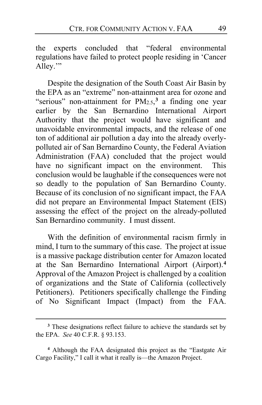the experts concluded that "federal environmental regulations have failed to protect people residing in 'Cancer Alley."

Despite the designation of the South Coast Air Basin by the EPA as an "extreme" non-attainment area for ozone and "serious" non-attainment for  $PM_{2.5}$ ,<sup>[3](#page-48-0)</sup> a finding one year earlier by the San Bernardino International Airport Authority that the project would have significant and unavoidable environmental impacts, and the release of one ton of additional air pollution a day into the already overlypolluted air of San Bernardino County, the Federal Aviation Administration (FAA) concluded that the project would have no significant impact on the environment. This conclusion would be laughable if the consequences were not so deadly to the population of San Bernardino County. Because of its conclusion of no significant impact, the FAA did not prepare an Environmental Impact Statement (EIS) assessing the effect of the project on the already-polluted San Bernardino community. I must dissent.

With the definition of environmental racism firmly in mind, I turn to the summary of this case. The project at issue is a massive package distribution center for Amazon located at the San Bernardino International Airport (Airport).**[4](#page-48-1)** Approval of the Amazon Project is challenged by a coalition of organizations and the State of California (collectively Petitioners). Petitioners specifically challenge the Finding of No Significant Impact (Impact) from the FAA.

<span id="page-48-0"></span>**<sup>3</sup>** These designations reflect failure to achieve the standards set by the EPA. *See* 40 C.F.R. § 93.153.

<span id="page-48-1"></span>**<sup>4</sup>** Although the FAA designated this project as the "Eastgate Air Cargo Facility," I call it what it really is—the Amazon Project.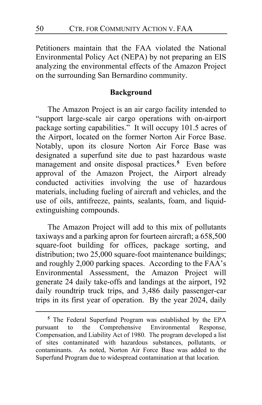Petitioners maintain that the FAA violated the National Environmental Policy Act (NEPA) by not preparing an EIS analyzing the environmental effects of the Amazon Project on the surrounding San Bernardino community.

## **Background**

The Amazon Project is an air cargo facility intended to "support large-scale air cargo operations with on-airport package sorting capabilities." It will occupy 101.5 acres of the Airport, located on the former Norton Air Force Base. Notably, upon its closure Norton Air Force Base was designated a superfund site due to past hazardous waste management and onsite disposal practices.**[5](#page-49-0)** Even before approval of the Amazon Project, the Airport already conducted activities involving the use of hazardous materials, including fueling of aircraft and vehicles, and the use of oils, antifreeze, paints, sealants, foam, and liquidextinguishing compounds.

The Amazon Project will add to this mix of pollutants taxiways and a parking apron for fourteen aircraft; a 658,500 square-foot building for offices, package sorting, and distribution; two 25,000 square-foot maintenance buildings; and roughly 2,000 parking spaces. According to the FAA's Environmental Assessment, the Amazon Project will generate 24 daily take-offs and landings at the airport, 192 daily roundtrip truck trips, and 3,486 daily passenger-car trips in its first year of operation. By the year 2024, daily

<span id="page-49-0"></span>**<sup>5</sup>** The Federal Superfund Program was established by the EPA pursuant to the Comprehensive Environmental Response, Compensation, and Liability Act of 1980. The program developed a list of sites contaminated with hazardous substances, pollutants, or contaminants. As noted, Norton Air Force Base was added to the Superfund Program due to widespread contamination at that location.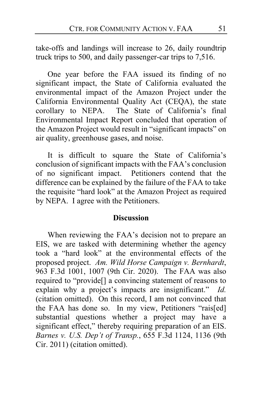take-offs and landings will increase to 26, daily roundtrip truck trips to 500, and daily passenger-car trips to 7,516.

One year before the FAA issued its finding of no significant impact, the State of California evaluated the environmental impact of the Amazon Project under the California Environmental Quality Act (CEQA), the state corollary to NEPA. The State of California's final The State of California's final Environmental Impact Report concluded that operation of the Amazon Project would result in "significant impacts" on air quality, greenhouse gases, and noise.

It is difficult to square the State of California's conclusion of significant impacts with the FAA's conclusion of no significant impact. Petitioners contend that the difference can be explained by the failure of the FAA to take the requisite "hard look" at the Amazon Project as required by NEPA. I agree with the Petitioners.

#### **Discussion**

When reviewing the FAA's decision not to prepare an EIS, we are tasked with determining whether the agency took a "hard look" at the environmental effects of the proposed project. *Am. Wild Horse Campaign v. Bernhardt*, 963 F.3d 1001, 1007 (9th Cir. 2020). The FAA was also required to "provide[] a convincing statement of reasons to explain why a project's impacts are insignificant." *Id.* (citation omitted). On this record, I am not convinced that the FAA has done so. In my view, Petitioners "rais[ed] substantial questions whether a project may have a significant effect," thereby requiring preparation of an EIS. *Barnes v. U.S. Dep't of Transp.*, 655 F.3d 1124, 1136 (9th Cir. 2011) (citation omitted).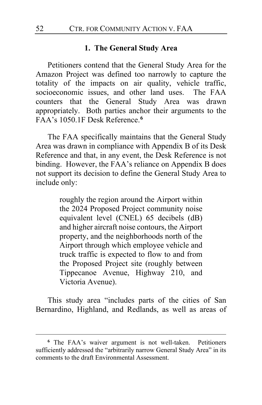#### **1. The General Study Area**

Petitioners contend that the General Study Area for the Amazon Project was defined too narrowly to capture the totality of the impacts on air quality, vehicle traffic, socioeconomic issues, and other land uses. The FAA counters that the General Study Area was drawn appropriately. Both parties anchor their arguments to the FAA's 1050.1F Desk Reference.**[6](#page-51-0)**

The FAA specifically maintains that the General Study Area was drawn in compliance with Appendix B of its Desk Reference and that, in any event, the Desk Reference is not binding. However, the FAA's reliance on Appendix B does not support its decision to define the General Study Area to include only:

> roughly the region around the Airport within the 2024 Proposed Project community noise equivalent level (CNEL) 65 decibels (dB) and higher aircraft noise contours, the Airport property, and the neighborhoods north of the Airport through which employee vehicle and truck traffic is expected to flow to and from the Proposed Project site (roughly between Tippecanoe Avenue, Highway 210, and Victoria Avenue).

This study area "includes parts of the cities of San Bernardino, Highland, and Redlands, as well as areas of

<span id="page-51-0"></span>**<sup>6</sup>** The FAA's waiver argument is not well-taken. Petitioners sufficiently addressed the "arbitrarily narrow General Study Area" in its comments to the draft Environmental Assessment.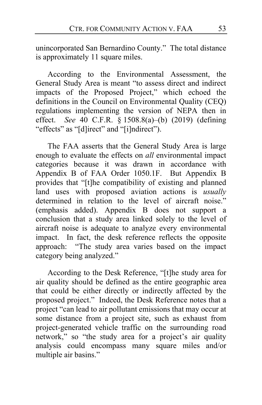unincorporated San Bernardino County." The total distance is approximately 11 square miles.

According to the Environmental Assessment, the General Study Area is meant "to assess direct and indirect impacts of the Proposed Project," which echoed the definitions in the Council on Environmental Quality (CEQ) regulations implementing the version of NEPA then in effect. *See* 40 C.F.R. § 1508.8(a)–(b) (2019) (defining "effects" as "[d]irect" and "[i]ndirect").

The FAA asserts that the General Study Area is large enough to evaluate the effects on *all* environmental impact categories because it was drawn in accordance with Appendix B of FAA Order 1050.1F. But Appendix B provides that "[t]he compatibility of existing and planned land uses with proposed aviation actions is *usually* determined in relation to the level of aircraft noise." (emphasis added). Appendix B does not support a conclusion that a study area linked solely to the level of aircraft noise is adequate to analyze every environmental impact. In fact, the desk reference reflects the opposite approach: "The study area varies based on the impact category being analyzed."

According to the Desk Reference, "[t]he study area for air quality should be defined as the entire geographic area that could be either directly or indirectly affected by the proposed project." Indeed, the Desk Reference notes that a project "can lead to air pollutant emissions that may occur at some distance from a project site, such as exhaust from project-generated vehicle traffic on the surrounding road network," so "the study area for a project's air quality analysis could encompass many square miles and/or multiple air basins."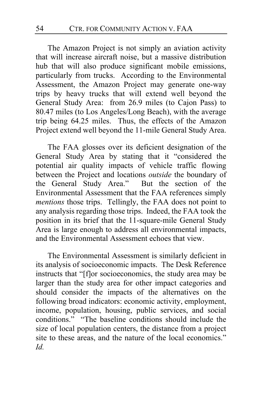The Amazon Project is not simply an aviation activity that will increase aircraft noise, but a massive distribution hub that will also produce significant mobile emissions, particularly from trucks. According to the Environmental Assessment, the Amazon Project may generate one-way trips by heavy trucks that will extend well beyond the General Study Area: from 26.9 miles (to Cajon Pass) to 80.47 miles (to Los Angeles/Long Beach), with the average trip being 64.25 miles. Thus, the effects of the Amazon Project extend well beyond the 11-mile General Study Area.

The FAA glosses over its deficient designation of the General Study Area by stating that it "considered the potential air quality impacts of vehicle traffic flowing between the Project and locations *outside* the boundary of the General Study Area." But the section of the Environmental Assessment that the FAA references simply *mentions* those trips. Tellingly, the FAA does not point to any analysis regarding those trips. Indeed, the FAA took the position in its brief that the 11-square-mile General Study Area is large enough to address all environmental impacts, and the Environmental Assessment echoes that view.

The Environmental Assessment is similarly deficient in its analysis of socioeconomic impacts. The Desk Reference instructs that "[f]or socioeconomics, the study area may be larger than the study area for other impact categories and should consider the impacts of the alternatives on the following broad indicators: economic activity, employment, income, population, housing, public services, and social conditions." "The baseline conditions should include the size of local population centers, the distance from a project site to these areas, and the nature of the local economics." *Id.*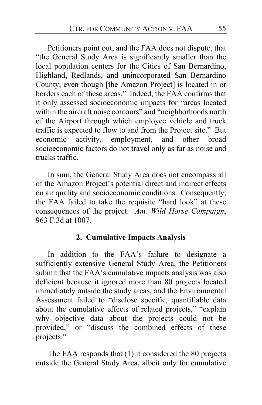Petitioners point out, and the FAA does not dispute, that "the General Study Area is significantly smaller than the local population centers for the Cities of San Bernardino, Highland, Redlands, and unincorporated San Bernardino County, even though [the Amazon Project] is located in or borders each of these areas." Indeed, the FAA confirms that it only assessed socioeconomic impacts for "areas located within the aircraft noise contours" and "neighborhoods north of the Airport through which employee vehicle and truck traffic is expected to flow to and from the Project site." But economic activity, employment, and other broad socioeconomic factors do not travel only as far as noise and trucks traffic.

In sum, the General Study Area does not encompass all of the Amazon Project's potential direct and indirect effects on air quality and socioeconomic conditions. Consequently, the FAA failed to take the requisite "hard look" at these consequences of the project. *Am. Wild Horse Campaign*, 963 F.3d at 1007.

## **2. Cumulative Impacts Analysis**

In addition to the FAA's failure to designate a sufficiently extensive General Study Area, the Petitioners submit that the FAA's cumulative impacts analysis was also deficient because it ignored more than 80 projects located immediately outside the study areas, and the Environmental Assessment failed to "disclose specific, quantifiable data about the cumulative effects of related projects," "explain why objective data about the projects could not be provided," or "discuss the combined effects of these projects."

The FAA responds that (1) it considered the 80 projects outside the General Study Area, albeit only for cumulative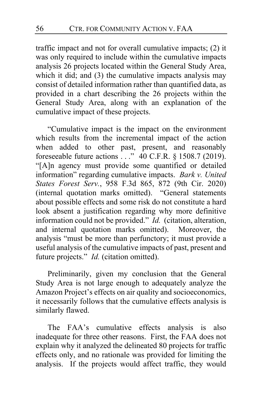traffic impact and not for overall cumulative impacts; (2) it was only required to include within the cumulative impacts analysis 26 projects located within the General Study Area, which it did; and (3) the cumulative impacts analysis may consist of detailed information rather than quantified data, as provided in a chart describing the 26 projects within the General Study Area, along with an explanation of the cumulative impact of these projects.

"Cumulative impact is the impact on the environment which results from the incremental impact of the action when added to other past, present, and reasonably foreseeable future actions . . ." 40 C.F.R. § 1508.7 (2019). "[A]n agency must provide some quantified or detailed information" regarding cumulative impacts. *Bark v. United States Forest Serv.*, 958 F.3d 865, 872 (9th Cir. 2020) (internal quotation marks omitted). "General statements about possible effects and some risk do not constitute a hard look absent a justification regarding why more definitive information could not be provided." *Id.* (citation, alteration, and internal quotation marks omitted). Moreover, the analysis "must be more than perfunctory; it must provide a useful analysis of the cumulative impacts of past, present and future projects." *Id.* (citation omitted).

Preliminarily, given my conclusion that the General Study Area is not large enough to adequately analyze the Amazon Project's effects on air quality and socioeconomics, it necessarily follows that the cumulative effects analysis is similarly flawed.

The FAA's cumulative effects analysis is also inadequate for three other reasons. First, the FAA does not explain why it analyzed the delineated 80 projects for traffic effects only, and no rationale was provided for limiting the analysis. If the projects would affect traffic, they would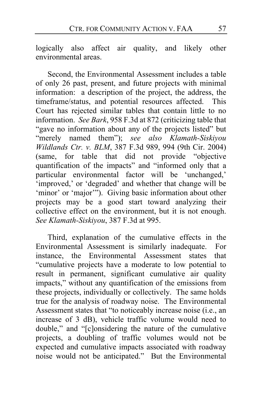logically also affect air quality, and likely other environmental areas.

Second, the Environmental Assessment includes a table of only 26 past, present, and future projects with minimal information: a description of the project, the address, the timeframe/status, and potential resources affected. This Court has rejected similar tables that contain little to no information. *See Bark*, 958 F.3d at 872 (criticizing table that "gave no information about any of the projects listed" but "merely named them"); *see also Klamath-Siskiyou Wildlands Ctr. v. BLM*, 387 F.3d 989, 994 (9th Cir. 2004) (same, for table that did not provide "objective quantification of the impacts" and "informed only that a particular environmental factor will be 'unchanged,' 'improved,' or 'degraded' and whether that change will be 'minor' or 'major'"). Giving basic information about other projects may be a good start toward analyzing their collective effect on the environment, but it is not enough. *See Klamath-Siskiyou*, 387 F.3d at 995.

Third, explanation of the cumulative effects in the Environmental Assessment is similarly inadequate. For instance, the Environmental Assessment states that "cumulative projects have a moderate to low potential to result in permanent, significant cumulative air quality impacts," without any quantification of the emissions from these projects, individually or collectively. The same holds true for the analysis of roadway noise. The Environmental Assessment states that "to noticeably increase noise (i.e., an increase of 3 dB), vehicle traffic volume would need to double," and "[c]onsidering the nature of the cumulative projects, a doubling of traffic volumes would not be expected and cumulative impacts associated with roadway noise would not be anticipated." But the Environmental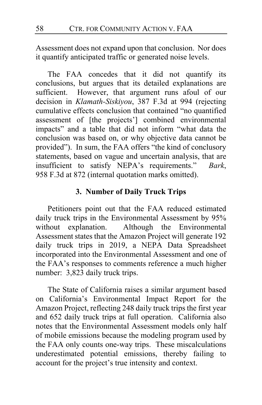Assessment does not expand upon that conclusion. Nor does it quantify anticipated traffic or generated noise levels.

The FAA concedes that it did not quantify its conclusions, but argues that its detailed explanations are sufficient. However, that argument runs afoul of our decision in *Klamath-Siskiyou*, 387 F.3d at 994 (rejecting cumulative effects conclusion that contained "no quantified assessment of [the projects'] combined environmental impacts" and a table that did not inform "what data the conclusion was based on, or why objective data cannot be provided"). In sum, the FAA offers "the kind of conclusory statements, based on vague and uncertain analysis, that are insufficient to satisfy NEPA's requirements." *Bark*, 958 F.3d at 872 (internal quotation marks omitted).

## **3. Number of Daily Truck Trips**

Petitioners point out that the FAA reduced estimated daily truck trips in the Environmental Assessment by 95% without explanation. Although the Environmental Assessment states that the Amazon Project will generate 192 daily truck trips in 2019, a NEPA Data Spreadsheet incorporated into the Environmental Assessment and one of the FAA's responses to comments reference a much higher number: 3,823 daily truck trips.

The State of California raises a similar argument based on California's Environmental Impact Report for the Amazon Project, reflecting 248 daily truck trips the first year and 652 daily truck trips at full operation. California also notes that the Environmental Assessment models only half of mobile emissions because the modeling program used by the FAA only counts one-way trips. These miscalculations underestimated potential emissions, thereby failing to account for the project's true intensity and context.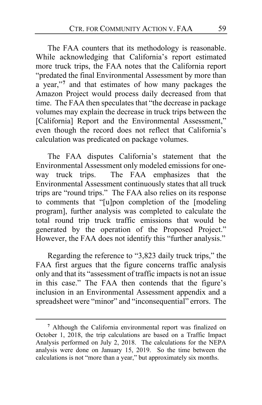The FAA counters that its methodology is reasonable. While acknowledging that California's report estimated more truck trips, the FAA notes that the California report "predated the final Environmental Assessment by more than a year,"**[7](#page-58-0)** and that estimates of how many packages the Amazon Project would process daily decreased from that time. The FAA then speculates that "the decrease in package volumes may explain the decrease in truck trips between the [California] Report and the Environmental Assessment," even though the record does not reflect that California's calculation was predicated on package volumes.

The FAA disputes California's statement that the Environmental Assessment only modeled emissions for oneway truck trips. The FAA emphasizes that the Environmental Assessment continuously states that all truck trips are "round trips." The FAA also relies on its response to comments that "[u]pon completion of the [modeling program], further analysis was completed to calculate the total round trip truck traffic emissions that would be generated by the operation of the Proposed Project." However, the FAA does not identify this "further analysis."

Regarding the reference to "3,823 daily truck trips," the FAA first argues that the figure concerns traffic analysis only and that its "assessment of traffic impacts is not an issue in this case." The FAA then contends that the figure's inclusion in an Environmental Assessment appendix and a spreadsheet were "minor" and "inconsequential" errors. The

<span id="page-58-0"></span>**<sup>7</sup>** Although the California environmental report was finalized on October 1, 2018, the trip calculations are based on a Traffic Impact Analysis performed on July 2, 2018. The calculations for the NEPA analysis were done on January 15, 2019. So the time between the calculations is not "more than a year," but approximately six months.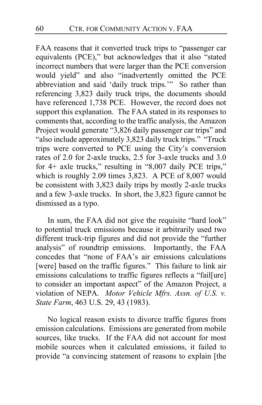FAA reasons that it converted truck trips to "passenger car equivalents (PCE)," but acknowledges that it also "stated incorrect numbers that were larger than the PCE conversion would yield" and also "inadvertently omitted the PCE abbreviation and said 'daily truck trips.'" So rather than referencing 3,823 daily truck trips, the documents should have referenced 1,738 PCE. However, the record does not support this explanation. The FAA stated in its responses to comments that, according to the traffic analysis, the Amazon Project would generate "3,826 daily passenger car trips" and "also include approximately 3,823 daily truck trips." "Truck trips were converted to PCE using the City's conversion rates of 2.0 for 2-axle trucks, 2.5 for 3-axle trucks and 3.0 for 4+ axle trucks," resulting in "8,007 daily PCE trips," which is roughly 2.09 times 3,823. A PCE of 8,007 would be consistent with 3,823 daily trips by mostly 2-axle trucks and a few 3-axle trucks. In short, the 3,823 figure cannot be dismissed as a typo.

In sum, the FAA did not give the requisite "hard look" to potential truck emissions because it arbitrarily used two different truck-trip figures and did not provide the "further analysis" of roundtrip emissions. Importantly, the FAA concedes that "none of FAA's air emissions calculations [were] based on the traffic figures." This failure to link air emissions calculations to traffic figures reflects a "fail[ure] to consider an important aspect" of the Amazon Project, a violation of NEPA. *Motor Vehicle Mfrs. Assn. of U.S. v. State Farm*, 463 U.S. 29, 43 (1983).

No logical reason exists to divorce traffic figures from emission calculations. Emissions are generated from mobile sources, like trucks. If the FAA did not account for most mobile sources when it calculated emissions, it failed to provide "a convincing statement of reasons to explain [the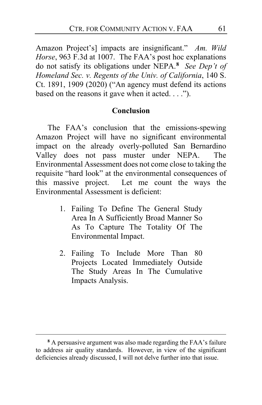Amazon Project's] impacts are insignificant." *Am. Wild Horse*, 963 F.3d at 1007. The FAA's post hoc explanations do not satisfy its obligations under NEPA.**[8](#page-60-0)** *See Dep't of Homeland Sec. v. Regents of the Univ. of California*, 140 S. Ct. 1891, 1909 (2020) ("An agency must defend its actions based on the reasons it gave when it acted. . . .").

## **Conclusion**

The FAA's conclusion that the emissions-spewing Amazon Project will have no significant environmental impact on the already overly-polluted San Bernardino Valley does not pass muster under NEPA. The Environmental Assessment does not come close to taking the requisite "hard look" at the environmental consequences of this massive project. Let me count the ways the Environmental Assessment is deficient:

- 1. Failing To Define The General Study Area In A Sufficiently Broad Manner So As To Capture The Totality Of The Environmental Impact.
- 2. Failing To Include More Than 80 Projects Located Immediately Outside The Study Areas In The Cumulative Impacts Analysis.

<span id="page-60-0"></span>**<sup>8</sup>** A persuasive argument was also made regarding the FAA's failure to address air quality standards. However, in view of the significant deficiencies already discussed, I will not delve further into that issue.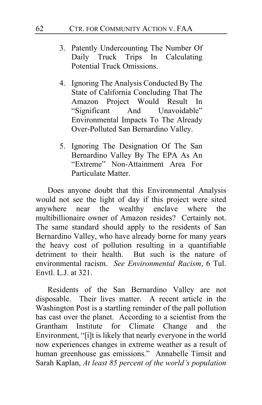- 3. Patently Undercounting The Number Of Daily Truck Trips In Calculating Potential Truck Omissions.
- 4. Ignoring The Analysis Conducted By The State of California Concluding That The Amazon Project Would Result In "Significant And Unavoidable" Environmental Impacts To The Already Over-Polluted San Bernardino Valley.
- 5. Ignoring The Designation Of The San Bernardino Valley By The EPA As An "Extreme" Non-Attainment Area For Particulate Matter.

Does anyone doubt that this Environmental Analysis would not see the light of day if this project were sited anywhere near the wealthy enclave where the multibillionaire owner of Amazon resides? Certainly not. The same standard should apply to the residents of San Bernardino Valley, who have already borne for many years the heavy cost of pollution resulting in a quantifiable detriment to their health. But such is the nature of environmental racism. *See Environmental Racism*, 6 Tul. Envtl. L.J. at 321.

Residents of the San Bernardino Valley are not disposable. Their lives matter. A recent article in the Washington Post is a startling reminder of the pall pollution has cast over the planet. According to a scientist from the Grantham Institute for Climate Change and the Environment, "[i]t is likely that nearly everyone in the world now experiences changes in extreme weather as a result of human greenhouse gas emissions." Annabelle Timsit and Sarah Kaplan, *At least 85 percent of the world's population*